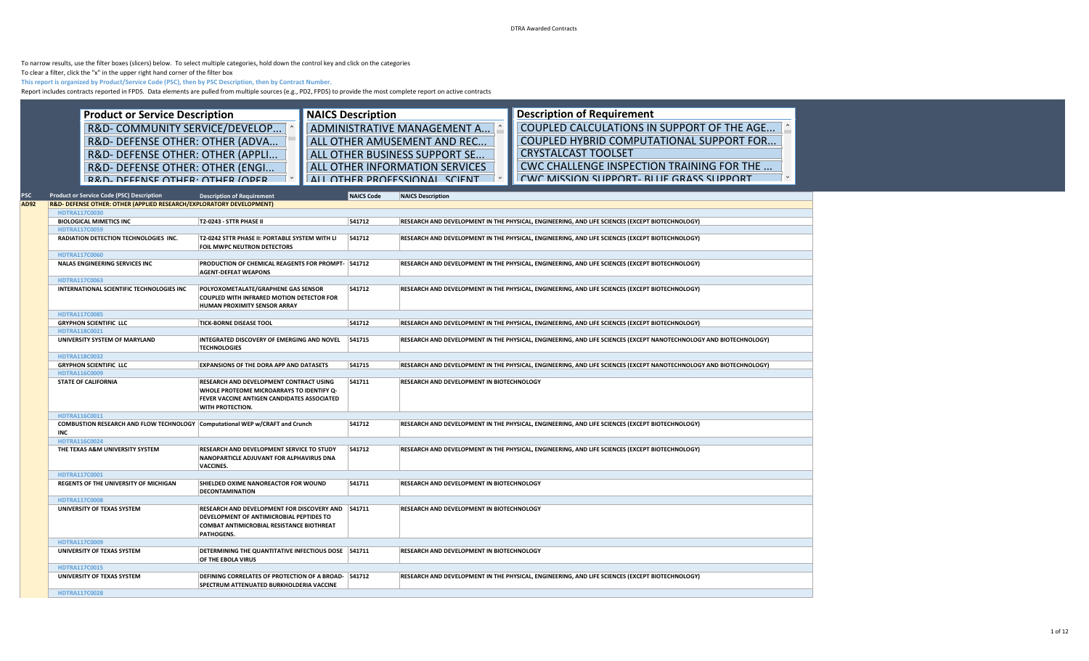DTRA Awarded Contracts

To narrow results, use the filter boxes (slicers) below. To select multiple categories, hold down the control key and click on the categories

To clear a filter, click the "x" in the upper right hand corner of the filter box

**This report is organized by Product/Service Code (PSC), then by PSC Description, then by Contract Number.**

Report includes contracts reported in FPDS. Data elements are pulled from multiple sources (e.g., PD2, FPDS) to provide the most complete report on active contracts

| <b>Product or Service Description</b><br>R&D- COMMUNITY SERVICE/DEVELOP<br>R&D- DEFENSE OTHER: OTHER (ADVA<br>R&D- DEFENSE OTHER: OTHER (APPLI<br>R&D- DEFENSE OTHER: OTHER (ENGI<br>R&D- DEFENSE OTHER: OTHER (OPER |                                                                                                                                                                              | <b>NAICS Description</b> | ADMINISTRATIVE MANAGEMENT A<br>ALL OTHER AMUSEMENT AND REC<br>ALL OTHER BUSINESS SUPPORT SE<br><b>ALL OTHER INFORMATION SERVICES</b><br>ALL OTHER PROFESSIONAL SCIENT | <b>Description of Requirement</b><br>COUPLED CALCULATIONS IN SUPPORT OF THE AGE<br>COUPLED HYBRID COMPUTATIONAL SUPPORT FOR<br><b>CRYSTALCAST TOOLSET</b><br>CWC CHALLENGE INSPECTION TRAINING FOR THE<br>CWC MISSION SHPPORT- RITIF GRASS SHPPORT |
|----------------------------------------------------------------------------------------------------------------------------------------------------------------------------------------------------------------------|------------------------------------------------------------------------------------------------------------------------------------------------------------------------------|--------------------------|-----------------------------------------------------------------------------------------------------------------------------------------------------------------------|----------------------------------------------------------------------------------------------------------------------------------------------------------------------------------------------------------------------------------------------------|
| <b>Product or Service Code (PSC) Description</b><br>R&D- DEFENSE OTHER: OTHER (APPLIED RESEARCH/EXPLORATORY DEVELOPMENT)                                                                                             | <b>Description of Requirement</b>                                                                                                                                            | <b>NAICS Code</b>        | <b>NAICS Description</b>                                                                                                                                              |                                                                                                                                                                                                                                                    |
| HDTRA117C0030                                                                                                                                                                                                        |                                                                                                                                                                              |                          |                                                                                                                                                                       |                                                                                                                                                                                                                                                    |
| <b>BIOLOGICAL MIMETICS INC</b><br><b>HDTRA117C0059</b>                                                                                                                                                               | T2-0243 - STTR PHASE II                                                                                                                                                      | 541712                   |                                                                                                                                                                       | RESEARCH AND DEVELOPMENT IN THE PHYSICAL, ENGINEERING, AND LIFE SCIENCES (EXCEPT BIOTECHNOLOGY)                                                                                                                                                    |
| RADIATION DETECTION TECHNOLOGIES INC.                                                                                                                                                                                | T2-0242 STTR PHASE II: PORTABLE SYSTEM WITH LI<br>FOIL MWPC NEUTRON DETECTORS                                                                                                | 541712                   |                                                                                                                                                                       | RESEARCH AND DEVELOPMENT IN THE PHYSICAL, ENGINEERING, AND LIFE SCIENCES (EXCEPT BIOTECHNOLOGY)                                                                                                                                                    |
| HDTRA117C0060<br><b>NALAS ENGINEERING SERVICES INC</b>                                                                                                                                                               | <b>PRODUCTION OF CHEMICAL REAGENTS FOR PROMPT- 541712</b><br><b>AGENT-DEFEAT WEAPONS</b>                                                                                     |                          |                                                                                                                                                                       | RESEARCH AND DEVELOPMENT IN THE PHYSICAL, ENGINEERING, AND LIFE SCIENCES (EXCEPT BIOTECHNOLOGY)                                                                                                                                                    |
| <b>HDTRA117C0063</b>                                                                                                                                                                                                 |                                                                                                                                                                              |                          |                                                                                                                                                                       |                                                                                                                                                                                                                                                    |
| INTERNATIONAL SCIENTIFIC TECHNOLOGIES INC                                                                                                                                                                            | POLYOXOMETALATE/GRAPHENE GAS SENSOR<br>COUPLED WITH INFRARED MOTION DETECTOR FOR<br><b>HUMAN PROXIMITY SENSOR ARRAY</b>                                                      | 541712                   |                                                                                                                                                                       | RESEARCH AND DEVELOPMENT IN THE PHYSICAL, ENGINEERING, AND LIFE SCIENCES (EXCEPT BIOTECHNOLOGY)                                                                                                                                                    |
| <b>HDTRA117C0085</b>                                                                                                                                                                                                 |                                                                                                                                                                              |                          |                                                                                                                                                                       |                                                                                                                                                                                                                                                    |
| <b>GRYPHON SCIENTIFIC LLC</b>                                                                                                                                                                                        | <b>TICK-BORNE DISEASE TOOL</b>                                                                                                                                               | 541712                   |                                                                                                                                                                       | RESEARCH AND DEVELOPMENT IN THE PHYSICAL, ENGINEERING, AND LIFE SCIENCES (EXCEPT BIOTECHNOLOGY)                                                                                                                                                    |
| HDTRA118C0021<br>UNIVERSITY SYSTEM OF MARYLAND                                                                                                                                                                       | INTEGRATED DISCOVERY OF EMERGING AND NOVEL<br><b>TECHNOLOGIES</b>                                                                                                            | 541715                   |                                                                                                                                                                       | RESEARCH AND DEVELOPMENT IN THE PHYSICAL, ENGINEERING, AND LIFE SCIENCES (EXCEPT NANOTECHNOLOGY AND BIOTECHNOLOGY)                                                                                                                                 |
| HDTRA118C0032                                                                                                                                                                                                        |                                                                                                                                                                              |                          |                                                                                                                                                                       |                                                                                                                                                                                                                                                    |
| <b>GRYPHON SCIENTIFIC LLC</b>                                                                                                                                                                                        | <b>EXPANSIONS OF THE DORA APP AND DATASETS</b>                                                                                                                               | 541715                   |                                                                                                                                                                       | RESEARCH AND DEVELOPMENT IN THE PHYSICAL, ENGINEERING, AND LIFE SCIENCES (EXCEPT NANOTECHNOLOGY AND BIOTECHNOLOGY)                                                                                                                                 |
| HDTRA116C0009<br><b>STATE OF CALIFORNIA</b>                                                                                                                                                                          | <b>RESEARCH AND DEVELOPMENT CONTRACT USING</b><br>WHOLE PROTEOME MICROARRAYS TO IDENTIFY Q-<br><b>FEVER VACCINE ANTIGEN CANDIDATES ASSOCIATED</b><br><b>WITH PROTECTION.</b> | 541711                   | RESEARCH AND DEVELOPMENT IN BIOTECHNOLOGY                                                                                                                             |                                                                                                                                                                                                                                                    |
| HDTRA116C0011                                                                                                                                                                                                        |                                                                                                                                                                              |                          |                                                                                                                                                                       |                                                                                                                                                                                                                                                    |
| COMBUSTION RESEARCH AND FLOW TECHNOLOGY Computational WEP w/CRAFT and Crunch<br>INC                                                                                                                                  |                                                                                                                                                                              | 541712                   |                                                                                                                                                                       | RESEARCH AND DEVELOPMENT IN THE PHYSICAL, ENGINEERING, AND LIFE SCIENCES (EXCEPT BIOTECHNOLOGY)                                                                                                                                                    |
| HDTRA116C0024                                                                                                                                                                                                        |                                                                                                                                                                              |                          |                                                                                                                                                                       |                                                                                                                                                                                                                                                    |
| THE TEXAS A&M UNIVERSITY SYSTEM                                                                                                                                                                                      | <b>RESEARCH AND DEVELOPMENT SERVICE TO STUDY</b><br>NANOPARTICLE ADJUVANT FOR ALPHAVIRUS DNA<br><b>VACCINES.</b>                                                             | 541712                   |                                                                                                                                                                       | RESEARCH AND DEVELOPMENT IN THE PHYSICAL, ENGINEERING, AND LIFE SCIENCES (EXCEPT BIOTECHNOLOGY)                                                                                                                                                    |
| HDTRA117C0001                                                                                                                                                                                                        |                                                                                                                                                                              |                          |                                                                                                                                                                       |                                                                                                                                                                                                                                                    |
| <b>REGENTS OF THE UNIVERSITY OF MICHIGAN</b>                                                                                                                                                                         | SHIELDED OXIME NANOREACTOR FOR WOUND<br><b>DECONTAMINATION</b>                                                                                                               | 541711                   | RESEARCH AND DEVELOPMENT IN BIOTECHNOLOGY                                                                                                                             |                                                                                                                                                                                                                                                    |
| <b>HDTRA117C0008</b>                                                                                                                                                                                                 |                                                                                                                                                                              |                          |                                                                                                                                                                       |                                                                                                                                                                                                                                                    |
| UNIVERSITY OF TEXAS SYSTEM                                                                                                                                                                                           | RESEARCH AND DEVELOPMENT FOR DISCOVERY AND 541711<br>DEVELOPMENT OF ANTIMICROBIAL PEPTIDES TO<br><b>COMBAT ANTIMICROBIAL RESISTANCE BIOTHREAT</b><br><b>PATHOGENS.</b>       |                          | RESEARCH AND DEVELOPMENT IN BIOTECHNOLOGY                                                                                                                             |                                                                                                                                                                                                                                                    |
| HDTRA117C0009<br>UNIVERSITY OF TEXAS SYSTEM                                                                                                                                                                          | DETERMINING THE QUANTITATIVE INFECTIOUS DOSE 541711<br>OF THE EBOLA VIRUS                                                                                                    |                          | RESEARCH AND DEVELOPMENT IN BIOTECHNOLOGY                                                                                                                             |                                                                                                                                                                                                                                                    |
| HDTRA117C0015                                                                                                                                                                                                        |                                                                                                                                                                              |                          |                                                                                                                                                                       |                                                                                                                                                                                                                                                    |
| UNIVERSITY OF TEXAS SYSTEM                                                                                                                                                                                           | <b>DEFINING CORRELATES OF PROTECTION OF A BROAD- 541712</b><br>SPECTRUM ATTENUATED BURKHOLDERIA VACCINE                                                                      |                          |                                                                                                                                                                       | RESEARCH AND DEVELOPMENT IN THE PHYSICAL, ENGINEERING, AND LIFE SCIENCES (EXCEPT BIOTECHNOLOGY)                                                                                                                                                    |
| HDTRA117C0028                                                                                                                                                                                                        |                                                                                                                                                                              |                          |                                                                                                                                                                       |                                                                                                                                                                                                                                                    |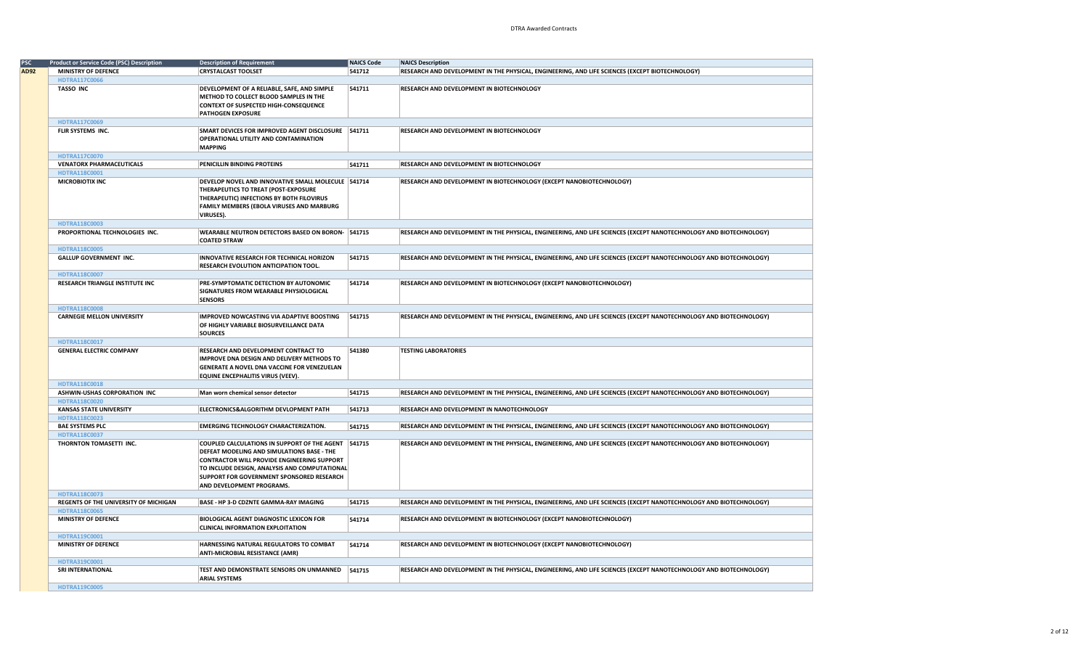|      | <b>Product or Service Code (PSC) Description</b> | <b>Description of Requirement</b>                   | <b>NAICS Code</b> | <b>NAICS Description</b>                                                                                           |
|------|--------------------------------------------------|-----------------------------------------------------|-------------------|--------------------------------------------------------------------------------------------------------------------|
| AD92 | <b>MINISTRY OF DEFENCE</b>                       | <b>CRYSTALCAST TOOLSET</b>                          | 541712            | RESEARCH AND DEVELOPMENT IN THE PHYSICAL, ENGINEERING, AND LIFE SCIENCES (EXCEPT BIOTECHNOLOGY)                    |
|      | <b>HDTRA117C0066</b>                             |                                                     |                   |                                                                                                                    |
|      | <b>TASSO INC</b>                                 | DEVELOPMENT OF A RELIABLE, SAFE, AND SIMPLE         | 541711            | RESEARCH AND DEVELOPMENT IN BIOTECHNOLOGY                                                                          |
|      |                                                  | METHOD TO COLLECT BLOOD SAMPLES IN THE              |                   |                                                                                                                    |
|      |                                                  | <b>CONTEXT OF SUSPECTED HIGH-CONSEQUENCE</b>        |                   |                                                                                                                    |
|      |                                                  | <b>PATHOGEN EXPOSURE</b>                            |                   |                                                                                                                    |
|      | HDTRA117C0069                                    |                                                     |                   |                                                                                                                    |
|      | FLIR SYSTEMS INC.                                | SMART DEVICES FOR IMPROVED AGENT DISCLOSURE 541711  |                   | RESEARCH AND DEVELOPMENT IN BIOTECHNOLOGY                                                                          |
|      |                                                  | OPERATIONAL UTILITY AND CONTAMINATION               |                   |                                                                                                                    |
|      |                                                  | <b>MAPPING</b>                                      |                   |                                                                                                                    |
|      |                                                  |                                                     |                   |                                                                                                                    |
|      | HDTRA117C0070                                    |                                                     |                   |                                                                                                                    |
|      | <b>VENATORX PHARMACEUTICALS</b>                  | PENICILLIN BINDING PROTEINS                         | 541711            | RESEARCH AND DEVELOPMENT IN BIOTECHNOLOGY                                                                          |
|      | HDTRA118C0001                                    |                                                     |                   |                                                                                                                    |
|      | <b>MICROBIOTIX INC</b>                           | DEVELOP NOVEL AND INNOVATIVE SMALL MOLECULE 541714  |                   | RESEARCH AND DEVELOPMENT IN BIOTECHNOLOGY (EXCEPT NANOBIOTECHNOLOGY)                                               |
|      |                                                  | THERAPEUTICS TO TREAT (POST-EXPOSURE                |                   |                                                                                                                    |
|      |                                                  | THERAPEUTIC) INFECTIONS BY BOTH FILOVIRUS           |                   |                                                                                                                    |
|      |                                                  | FAMILY MEMBERS (EBOLA VIRUSES AND MARBURG           |                   |                                                                                                                    |
|      |                                                  | VIRUSES).                                           |                   |                                                                                                                    |
|      | HDTRA118C0003                                    |                                                     |                   |                                                                                                                    |
|      | PROPORTIONAL TECHNOLOGIES INC.                   | WEARABLE NEUTRON DETECTORS BASED ON BORON- 541715   |                   | RESEARCH AND DEVELOPMENT IN THE PHYSICAL, ENGINEERING, AND LIFE SCIENCES (EXCEPT NANOTECHNOLOGY AND BIOTECHNOLOGY) |
|      |                                                  | <b>COATED STRAW</b>                                 |                   |                                                                                                                    |
|      | HDTRA118C0005                                    |                                                     |                   |                                                                                                                    |
|      | <b>GALLUP GOVERNMENT INC.</b>                    | INNOVATIVE RESEARCH FOR TECHNICAL HORIZON           | 541715            | RESEARCH AND DEVELOPMENT IN THE PHYSICAL, ENGINEERING, AND LIFE SCIENCES (EXCEPT NANOTECHNOLOGY AND BIOTECHNOLOGY) |
|      |                                                  | RESEARCH EVOLUTION ANTICIPATION TOOL.               |                   |                                                                                                                    |
|      | HDTRA118C0007                                    |                                                     |                   |                                                                                                                    |
|      | RESEARCH TRIANGLE INSTITUTE INC                  | PRE-SYMPTOMATIC DETECTION BY AUTONOMIC              | 541714            | RESEARCH AND DEVELOPMENT IN BIOTECHNOLOGY (EXCEPT NANOBIOTECHNOLOGY)                                               |
|      |                                                  | SIGNATURES FROM WEARABLE PHYSIOLOGICAL              |                   |                                                                                                                    |
|      |                                                  | <b>SENSORS</b>                                      |                   |                                                                                                                    |
|      | <b>HDTRA118C0008</b>                             |                                                     |                   |                                                                                                                    |
|      | <b>CARNEGIE MELLON UNIVERSITY</b>                | <b>IMPROVED NOWCASTING VIA ADAPTIVE BOOSTING</b>    | 541715            | RESEARCH AND DEVELOPMENT IN THE PHYSICAL, ENGINEERING, AND LIFE SCIENCES (EXCEPT NANOTECHNOLOGY AND BIOTECHNOLOGY) |
|      |                                                  | OF HIGHLY VARIABLE BIOSURVEILLANCE DATA             |                   |                                                                                                                    |
|      |                                                  | <b>SOURCES</b>                                      |                   |                                                                                                                    |
|      | HDTRA118C0017                                    |                                                     |                   |                                                                                                                    |
|      | <b>GENERAL ELECTRIC COMPANY</b>                  | RESEARCH AND DEVELOPMENT CONTRACT TO                | 541380            | <b>TESTING LABORATORIES</b>                                                                                        |
|      |                                                  | <b>IMPROVE DNA DESIGN AND DELIVERY METHODS TO</b>   |                   |                                                                                                                    |
|      |                                                  |                                                     |                   |                                                                                                                    |
|      |                                                  | GENERATE A NOVEL DNA VACCINE FOR VENEZUELAN         |                   |                                                                                                                    |
|      |                                                  | EQUINE ENCEPHALITIS VIRUS (VEEV).                   |                   |                                                                                                                    |
|      | HDTRA118C0018                                    |                                                     |                   |                                                                                                                    |
|      | ASHWIN-USHAS CORPORATION INC                     | Man worn chemical sensor detector                   | 541715            | RESEARCH AND DEVELOPMENT IN THE PHYSICAL, ENGINEERING, AND LIFE SCIENCES (EXCEPT NANOTECHNOLOGY AND BIOTECHNOLOGY) |
|      | HDTRA118C0020                                    |                                                     |                   |                                                                                                                    |
|      | <b>KANSAS STATE UNIVERSITY</b>                   | ELECTRONICS&ALGORITHM DEVLOPMENT PATH               | 541713            | RESEARCH AND DEVELOPMENT IN NANOTECHNOLOGY                                                                         |
|      | HDTRA118C0023                                    |                                                     |                   |                                                                                                                    |
|      | <b>BAE SYSTEMS PLC</b>                           | <b>EMERGING TECHNOLOGY CHARACTERIZATION.</b>        | 541715            | RESEARCH AND DEVELOPMENT IN THE PHYSICAL, ENGINEERING, AND LIFE SCIENCES (EXCEPT NANOTECHNOLOGY AND BIOTECHNOLOGY) |
|      | HDTRA118C0037                                    |                                                     |                   |                                                                                                                    |
|      | THORNTON TOMASETTI INC.                          | COUPLED CALCULATIONS IN SUPPORT OF THE AGENT 541715 |                   | RESEARCH AND DEVELOPMENT IN THE PHYSICAL, ENGINEERING, AND LIFE SCIENCES (EXCEPT NANOTECHNOLOGY AND BIOTECHNOLOGY) |
|      |                                                  | DEFEAT MODELING AND SIMULATIONS BASE - THE          |                   |                                                                                                                    |
|      |                                                  | <b>CONTRACTOR WILL PROVIDE ENGINEERING SUPPORT</b>  |                   |                                                                                                                    |
|      |                                                  | TO INCLUDE DESIGN, ANALYSIS AND COMPUTATIONAL       |                   |                                                                                                                    |
|      |                                                  | SUPPORT FOR GOVERNMENT SPONSORED RESEARCH           |                   |                                                                                                                    |
|      |                                                  | AND DEVELOPMENT PROGRAMS.                           |                   |                                                                                                                    |
|      | HDTRA118C0073                                    |                                                     |                   |                                                                                                                    |
|      | REGENTS OF THE UNIVERSITY OF MICHIGAN            | BASE - HP 3-D CDZNTE GAMMA-RAY IMAGING              | 541715            | RESEARCH AND DEVELOPMENT IN THE PHYSICAL, ENGINEERING, AND LIFE SCIENCES (EXCEPT NANOTECHNOLOGY AND BIOTECHNOLOGY) |
|      | <b>HDTRA118C0065</b>                             |                                                     |                   |                                                                                                                    |
|      | MINISTRY OF DEFENCE                              | <b>BIOLOGICAL AGENT DIAGNOSTIC LEXICON FOR</b>      | 541714            | RESEARCH AND DEVELOPMENT IN BIOTECHNOLOGY (EXCEPT NANOBIOTECHNOLOGY)                                               |
|      |                                                  | <b>CLINICAL INFORMATION EXPLOITATION</b>            |                   |                                                                                                                    |
|      | HDTRA119C0001                                    |                                                     |                   |                                                                                                                    |
|      | <b>MINISTRY OF DEFENCE</b>                       | HARNESSING NATURAL REGULATORS TO COMBAT             | 541714            | RESEARCH AND DEVELOPMENT IN BIOTECHNOLOGY (EXCEPT NANOBIOTECHNOLOGY)                                               |
|      |                                                  |                                                     |                   |                                                                                                                    |
|      |                                                  | <b>ANTI-MICROBIAL RESISTANCE (AMR)</b>              |                   |                                                                                                                    |
|      | HDTRA319C0001                                    |                                                     |                   |                                                                                                                    |
|      | SRI INTERNATIONAL                                | TEST AND DEMONSTRATE SENSORS ON UNMANNED            | 541715            | RESEARCH AND DEVELOPMENT IN THE PHYSICAL, ENGINEERING, AND LIFE SCIENCES (EXCEPT NANOTECHNOLOGY AND BIOTECHNOLOGY) |
|      |                                                  | <b>ARIAL SYSTEMS</b>                                |                   |                                                                                                                    |
|      | <b>HDTRA119C0005</b>                             |                                                     |                   |                                                                                                                    |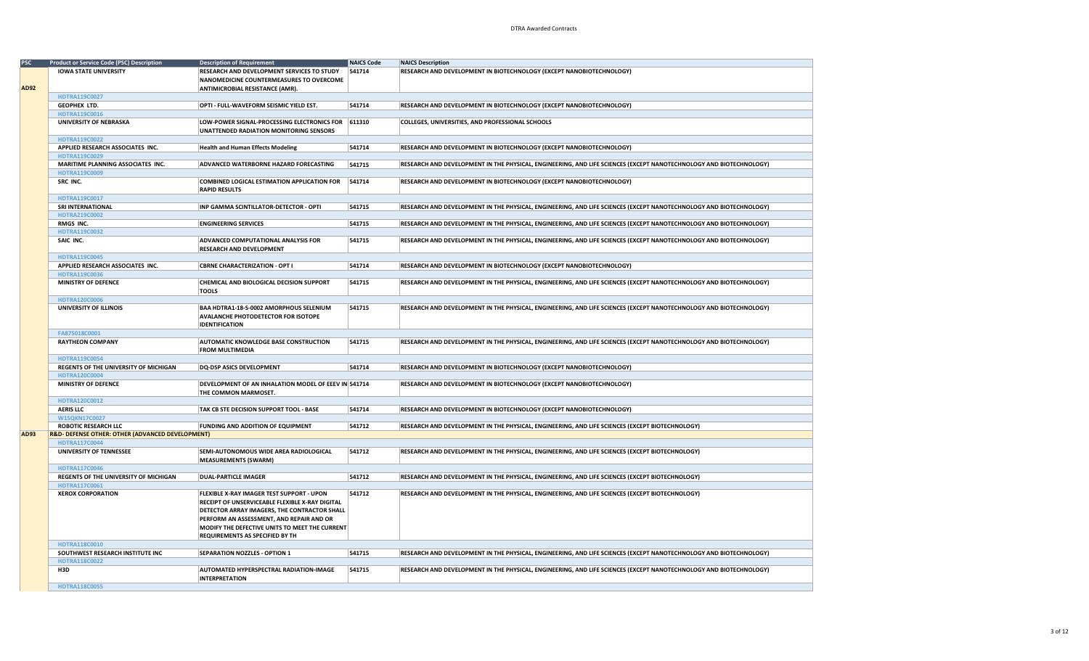| <b>PSC</b> | <b>Product or Service Code (PSC) Description</b> | <b>Description of Requirement</b>                                       | <b>NAICS Code</b> | <b>NAICS Description</b>                                                                                           |
|------------|--------------------------------------------------|-------------------------------------------------------------------------|-------------------|--------------------------------------------------------------------------------------------------------------------|
|            | <b>IOWA STATE UNIVERSITY</b>                     | RESEARCH AND DEVELOPMENT SERVICES TO STUDY                              | 541714            | RESEARCH AND DEVELOPMENT IN BIOTECHNOLOGY (EXCEPT NANOBIOTECHNOLOGY)                                               |
|            |                                                  | NANOMEDICINE COUNTERMEASURES TO OVERCOME                                |                   |                                                                                                                    |
| AD92       |                                                  | ANTIMICROBIAL RESISTANCE (AMR).                                         |                   |                                                                                                                    |
|            | HDTRA119C0027                                    |                                                                         |                   |                                                                                                                    |
|            | <b>GEOPHEX LTD.</b>                              | OPTI - FULL-WAVEFORM SEISMIC YIELD EST.                                 | 541714            | RESEARCH AND DEVELOPMENT IN BIOTECHNOLOGY (EXCEPT NANOBIOTECHNOLOGY)                                               |
|            | HDTRA119C0016                                    |                                                                         |                   |                                                                                                                    |
|            | UNIVERSITY OF NEBRASKA                           | LOW-POWER SIGNAL-PROCESSING ELECTRONICS FOR 611310                      |                   | COLLEGES, UNIVERSITIES, AND PROFESSIONAL SCHOOLS                                                                   |
|            |                                                  | UNATTENDED RADIATION MONITORING SENSORS                                 |                   |                                                                                                                    |
|            | HDTRA119C0022                                    |                                                                         |                   |                                                                                                                    |
|            | APPLIED RESEARCH ASSOCIATES INC.                 | <b>Health and Human Effects Modeling</b>                                | 541714            | RESEARCH AND DEVELOPMENT IN BIOTECHNOLOGY (EXCEPT NANOBIOTECHNOLOGY)                                               |
|            | HDTRA119C0029                                    |                                                                         |                   |                                                                                                                    |
|            | MARITIME PLANNING ASSOCIATES INC.                | <b>ADVANCED WATERBORNE HAZARD FORECASTING</b>                           | 541715            | RESEARCH AND DEVELOPMENT IN THE PHYSICAL, ENGINEERING, AND LIFE SCIENCES (EXCEPT NANOTECHNOLOGY AND BIOTECHNOLOGY) |
|            | HDTRA119C0009                                    |                                                                         |                   |                                                                                                                    |
|            | SRC INC.                                         | <b>COMBINED LOGICAL ESTIMATION APPLICATION FOR</b>                      | 541714            | RESEARCH AND DEVELOPMENT IN BIOTECHNOLOGY (EXCEPT NANOBIOTECHNOLOGY)                                               |
|            |                                                  | <b>RAPID RESULTS</b>                                                    |                   |                                                                                                                    |
|            | HDTRA119C0017                                    |                                                                         |                   |                                                                                                                    |
|            | <b>SRI INTERNATIONAL</b>                         | INP GAMMA SCINTILLATOR-DETECTOR - OPTI                                  | 541715            | RESEARCH AND DEVELOPMENT IN THE PHYSICAL, ENGINEERING, AND LIFE SCIENCES (EXCEPT NANOTECHNOLOGY AND BIOTECHNOLOGY) |
|            | HDTRA219C0002                                    |                                                                         |                   |                                                                                                                    |
|            | RMGS INC.                                        | <b>ENGINEERING SERVICES</b>                                             | 541715            | RESEARCH AND DEVELOPMENT IN THE PHYSICAL, ENGINEERING, AND LIFE SCIENCES (EXCEPT NANOTECHNOLOGY AND BIOTECHNOLOGY) |
|            | HDTRA119C0032                                    |                                                                         |                   |                                                                                                                    |
|            | SAIC INC.                                        | <b>ADVANCED COMPUTATIONAL ANALYSIS FOR</b>                              | 541715            | RESEARCH AND DEVELOPMENT IN THE PHYSICAL, ENGINEERING, AND LIFE SCIENCES (EXCEPT NANOTECHNOLOGY AND BIOTECHNOLOGY) |
|            |                                                  | <b>RESEARCH AND DEVELOPMENT</b>                                         |                   |                                                                                                                    |
|            | HDTRA119C0045                                    |                                                                         |                   |                                                                                                                    |
|            | APPLIED RESEARCH ASSOCIATES INC.                 | <b>CBRNE CHARACTERIZATION - OPT I</b>                                   | 541714            | RESEARCH AND DEVELOPMENT IN BIOTECHNOLOGY (EXCEPT NANOBIOTECHNOLOGY)                                               |
|            | HDTRA119C0036                                    |                                                                         |                   |                                                                                                                    |
|            | MINISTRY OF DEFENCE                              | CHEMICAL AND BIOLOGICAL DECISION SUPPORT                                | 541715            | RESEARCH AND DEVELOPMENT IN THE PHYSICAL, ENGINEERING, AND LIFE SCIENCES (EXCEPT NANOTECHNOLOGY AND BIOTECHNOLOGY) |
|            |                                                  | <b>TOOLS</b>                                                            |                   |                                                                                                                    |
|            | HDTRA120C0006                                    |                                                                         |                   |                                                                                                                    |
|            | <b>UNIVERSITY OF ILLINOIS</b>                    | BAA HDTRA1-18-S-0002 AMORPHOUS SELENIUM                                 | 541715            | RESEARCH AND DEVELOPMENT IN THE PHYSICAL, ENGINEERING, AND LIFE SCIENCES (EXCEPT NANOTECHNOLOGY AND BIOTECHNOLOGY) |
|            |                                                  | AVALANCHE PHOTODETECTOR FOR ISOTOPE                                     |                   |                                                                                                                    |
|            |                                                  | <b>IDENTIFICATION</b>                                                   |                   |                                                                                                                    |
|            | FA875018C0001                                    |                                                                         |                   |                                                                                                                    |
|            | <b>RAYTHEON COMPANY</b>                          | <b>AUTOMATIC KNOWLEDGE BASE CONSTRUCTION</b>                            | 541715            | RESEARCH AND DEVELOPMENT IN THE PHYSICAL, ENGINEERING, AND LIFE SCIENCES (EXCEPT NANOTECHNOLOGY AND BIOTECHNOLOGY) |
|            |                                                  | <b>FROM MULTIMEDIA</b>                                                  |                   |                                                                                                                    |
|            | HDTRA119C0054                                    |                                                                         |                   |                                                                                                                    |
|            | REGENTS OF THE UNIVERSITY OF MICHIGAN            | DQ-DSP ASICS DEVELOPMENT                                                | 541714            | RESEARCH AND DEVELOPMENT IN BIOTECHNOLOGY (EXCEPT NANOBIOTECHNOLOGY)                                               |
|            | HDTRA120C0004                                    |                                                                         |                   |                                                                                                                    |
|            | <b>MINISTRY OF DEFENCE</b>                       | DEVELOPMENT OF AN INHALATION MODEL OF EEEV IN 541714                    |                   | RESEARCH AND DEVELOPMENT IN BIOTECHNOLOGY (EXCEPT NANOBIOTECHNOLOGY)                                               |
|            |                                                  | THE COMMON MARMOSET.                                                    |                   |                                                                                                                    |
|            | HDTRA120C0012                                    |                                                                         |                   |                                                                                                                    |
|            | <b>AERIS LLC</b>                                 | TAK CB STE DECISION SUPPORT TOOL - BASE                                 | 541714            | RESEARCH AND DEVELOPMENT IN BIOTECHNOLOGY (EXCEPT NANOBIOTECHNOLOGY)                                               |
|            | W15QKN17C0027                                    |                                                                         |                   |                                                                                                                    |
|            | ROBOTIC RESEARCH LLC                             | <b>FUNDING AND ADDITION OF EQUIPMENT</b>                                | 541712            | RESEARCH AND DEVELOPMENT IN THE PHYSICAL, ENGINEERING, AND LIFE SCIENCES (EXCEPT BIOTECHNOLOGY)                    |
| AD93       | R&D- DEFENSE OTHER: OTHER (ADVANCED DEVELOPMENT) |                                                                         |                   |                                                                                                                    |
|            | HDTRA117C0044                                    |                                                                         |                   |                                                                                                                    |
|            | UNIVERSITY OF TENNESSEE                          | SEMI-AUTONOMOUS WIDE AREA RADIOLOGICAL                                  | 541712            | RESEARCH AND DEVELOPMENT IN THE PHYSICAL, ENGINEERING, AND LIFE SCIENCES (EXCEPT BIOTECHNOLOGY)                    |
|            |                                                  | <b>MEASUREMENTS (SWARM)</b>                                             |                   |                                                                                                                    |
|            | HDTRA117C0046                                    |                                                                         |                   |                                                                                                                    |
|            | REGENTS OF THE UNIVERSITY OF MICHIGAN            | <b>DUAL-PARTICLE IMAGER</b>                                             | 541712            | RESEARCH AND DEVELOPMENT IN THE PHYSICAL, ENGINEERING, AND LIFE SCIENCES (EXCEPT BIOTECHNOLOGY)                    |
|            | HDTRA117C0061                                    |                                                                         |                   |                                                                                                                    |
|            | <b>XEROX CORPORATION</b>                         | <b>FLEXIBLE X-RAY IMAGER TEST SUPPORT - UPON</b>                        | 541712            | RESEARCH AND DEVELOPMENT IN THE PHYSICAL, ENGINEERING, AND LIFE SCIENCES (EXCEPT BIOTECHNOLOGY)                    |
|            |                                                  | RECEIPT OF UNSERVICEABLE FLEXIBLE X-RAY DIGITAL                         |                   |                                                                                                                    |
|            |                                                  | DETECTOR ARRAY IMAGERS, THE CONTRACTOR SHALL                            |                   |                                                                                                                    |
|            |                                                  | PERFORM AN ASSESSMENT, AND REPAIR AND OR                                |                   |                                                                                                                    |
|            |                                                  | MODIFY THE DEFECTIVE UNITS TO MEET THE CURRENT                          |                   |                                                                                                                    |
|            |                                                  | REQUIREMENTS AS SPECIFIED BY TH                                         |                   |                                                                                                                    |
|            | HDTRA118C0010                                    |                                                                         |                   |                                                                                                                    |
|            | SOUTHWEST RESEARCH INSTITUTE INC                 | <b>SEPARATION NOZZLES - OPTION 1</b>                                    | 541715            | RESEARCH AND DEVELOPMENT IN THE PHYSICAL, ENGINEERING, AND LIFE SCIENCES (EXCEPT NANOTECHNOLOGY AND BIOTECHNOLOGY) |
|            | HDTRA118C0022<br>H3D                             |                                                                         |                   |                                                                                                                    |
|            |                                                  | <b>AUTOMATED HYPERSPECTRAL RADIATION-IMAGE</b><br><b>INTERPRETATION</b> | 541715            | RESEARCH AND DEVELOPMENT IN THE PHYSICAL, ENGINEERING, AND LIFE SCIENCES (EXCEPT NANOTECHNOLOGY AND BIOTECHNOLOGY) |
|            | <b>HDTRA118C0055</b>                             |                                                                         |                   |                                                                                                                    |
|            |                                                  |                                                                         |                   |                                                                                                                    |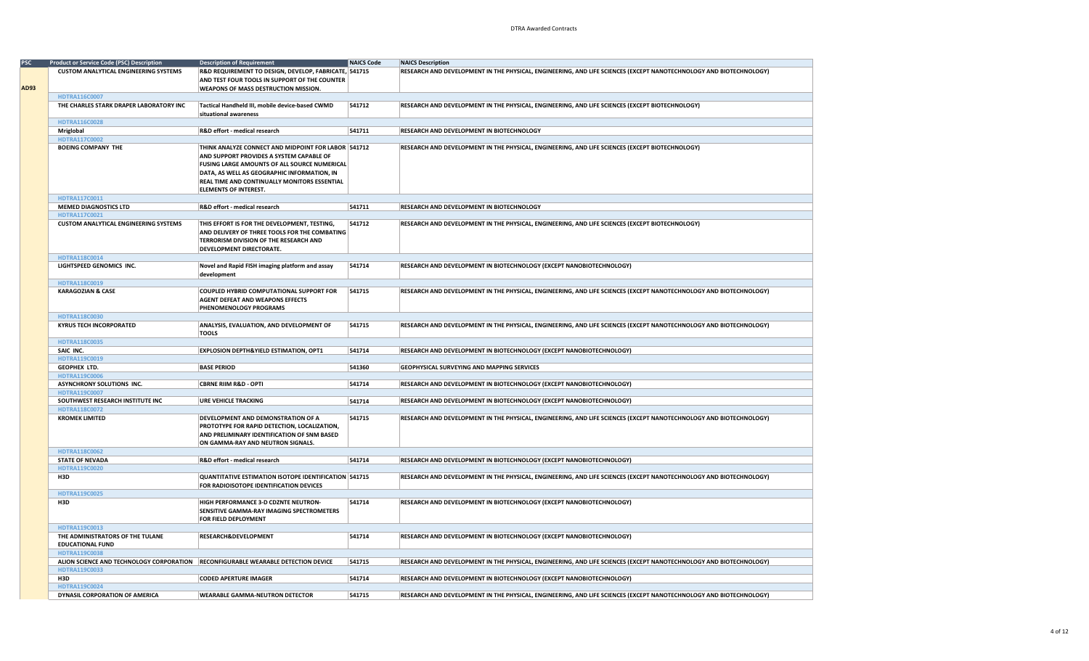| <b>PSC</b> | <b>Product or Service Code (PSC) Description</b>                                                     | <b>Description of Requirement</b>                                                                                                                                                                                                                                              | <b>NAICS Code</b> | <b>NAICS Description</b>                                                                                           |
|------------|------------------------------------------------------------------------------------------------------|--------------------------------------------------------------------------------------------------------------------------------------------------------------------------------------------------------------------------------------------------------------------------------|-------------------|--------------------------------------------------------------------------------------------------------------------|
|            | <b>CUSTOM ANALYTICAL ENGINEERING SYSTEMS</b>                                                         | R&D REQUIREMENT TO DESIGN, DEVELOP, FABRICATE, 541715<br>AND TEST FOUR TOOLS IN SUPPORT OF THE COUNTER                                                                                                                                                                         |                   | RESEARCH AND DEVELOPMENT IN THE PHYSICAL, ENGINEERING, AND LIFE SCIENCES (EXCEPT NANOTECHNOLOGY AND BIOTECHNOLOGY) |
| AD93       |                                                                                                      | WEAPONS OF MASS DESTRUCTION MISSION.                                                                                                                                                                                                                                           |                   |                                                                                                                    |
|            | HDTRA116C0007                                                                                        |                                                                                                                                                                                                                                                                                |                   |                                                                                                                    |
|            | THE CHARLES STARK DRAPER LABORATORY INC                                                              | Tactical Handheld III, mobile device-based CWMD<br>situational awareness                                                                                                                                                                                                       | 541712            | RESEARCH AND DEVELOPMENT IN THE PHYSICAL, ENGINEERING, AND LIFE SCIENCES (EXCEPT BIOTECHNOLOGY)                    |
|            | HDTRA116C0028                                                                                        |                                                                                                                                                                                                                                                                                |                   |                                                                                                                    |
|            | Mriglobal                                                                                            | R&D effort - medical research                                                                                                                                                                                                                                                  | 541711            | RESEARCH AND DEVELOPMENT IN BIOTECHNOLOGY                                                                          |
|            | HDTRA117C0002                                                                                        |                                                                                                                                                                                                                                                                                |                   |                                                                                                                    |
|            | <b>BOEING COMPANY THE</b>                                                                            | THINK ANALYZE CONNECT AND MIDPOINT FOR LABOR 541712<br>AND SUPPORT PROVIDES A SYSTEM CAPABLE OF<br>FUSING LARGE AMOUNTS OF ALL SOURCE NUMERICAL<br>DATA, AS WELL AS GEOGRAPHIC INFORMATION, IN<br>REAL TIME AND CONTINUALLY MONITORS ESSENTIAL<br><b>ELEMENTS OF INTEREST.</b> |                   | RESEARCH AND DEVELOPMENT IN THE PHYSICAL, ENGINEERING, AND LIFE SCIENCES (EXCEPT BIOTECHNOLOGY)                    |
|            | HDTRA117C0011                                                                                        |                                                                                                                                                                                                                                                                                |                   |                                                                                                                    |
|            | <b>MEMED DIAGNOSTICS LTD</b>                                                                         | R&D effort - medical research                                                                                                                                                                                                                                                  | 541711            | RESEARCH AND DEVELOPMENT IN BIOTECHNOLOGY                                                                          |
|            | HDTRA117C0021                                                                                        |                                                                                                                                                                                                                                                                                |                   |                                                                                                                    |
|            | <b>CUSTOM ANALYTICAL ENGINEERING SYSTEMS</b>                                                         | THIS EFFORT IS FOR THE DEVELOPMENT, TESTING,<br>AND DELIVERY OF THREE TOOLS FOR THE COMBATING<br>TERRORISM DIVISION OF THE RESEARCH AND<br>DEVELOPMENT DIRECTORATE.                                                                                                            | 541712            | RESEARCH AND DEVELOPMENT IN THE PHYSICAL, ENGINEERING, AND LIFE SCIENCES (EXCEPT BIOTECHNOLOGY)                    |
|            | HDTRA118C0014                                                                                        |                                                                                                                                                                                                                                                                                |                   |                                                                                                                    |
|            | LIGHTSPEED GENOMICS INC.                                                                             | Novel and Rapid FISH imaging platform and assay<br>development                                                                                                                                                                                                                 | 541714            | RESEARCH AND DEVELOPMENT IN BIOTECHNOLOGY (EXCEPT NANOBIOTECHNOLOGY)                                               |
|            | HDTRA118C0019                                                                                        |                                                                                                                                                                                                                                                                                |                   |                                                                                                                    |
|            | <b>KARAGOZIAN &amp; CASE</b>                                                                         | COUPLED HYBRID COMPUTATIONAL SUPPORT FOR<br><b>AGENT DEFEAT AND WEAPONS EFFECTS</b><br>PHENOMENOLOGY PROGRAMS                                                                                                                                                                  | 541715            | RESEARCH AND DEVELOPMENT IN THE PHYSICAL, ENGINEERING, AND LIFE SCIENCES (EXCEPT NANOTECHNOLOGY AND BIOTECHNOLOGY) |
|            | HDTRA118C0030                                                                                        |                                                                                                                                                                                                                                                                                |                   |                                                                                                                    |
|            | <b>KYRUS TECH INCORPORATED</b>                                                                       | ANALYSIS, EVALUATION, AND DEVELOPMENT OF<br><b>TOOLS</b>                                                                                                                                                                                                                       | 541715            | RESEARCH AND DEVELOPMENT IN THE PHYSICAL, ENGINEERING, AND LIFE SCIENCES (EXCEPT NANOTECHNOLOGY AND BIOTECHNOLOGY) |
|            | HDTRA118C0035                                                                                        |                                                                                                                                                                                                                                                                                |                   |                                                                                                                    |
|            | SAIC INC.                                                                                            | <b>EXPLOSION DEPTH&amp;YIELD ESTIMATION, OPT1</b>                                                                                                                                                                                                                              | 541714            | RESEARCH AND DEVELOPMENT IN BIOTECHNOLOGY (EXCEPT NANOBIOTECHNOLOGY)                                               |
|            | HDTRA119C0019                                                                                        |                                                                                                                                                                                                                                                                                |                   |                                                                                                                    |
|            | GEOPHEX LTD.                                                                                         | <b>BASE PERIOD</b>                                                                                                                                                                                                                                                             | 541360            | <b>GEOPHYSICAL SURVEYING AND MAPPING SERVICES</b>                                                                  |
|            | <b>HDTRA119C0006</b>                                                                                 |                                                                                                                                                                                                                                                                                |                   |                                                                                                                    |
|            | ASYNCHRONY SOLUTIONS INC.                                                                            | <b>CBRNE RIIM R&amp;D - OPTI</b>                                                                                                                                                                                                                                               | 541714            | RESEARCH AND DEVELOPMENT IN BIOTECHNOLOGY (EXCEPT NANOBIOTECHNOLOGY)                                               |
|            | HDTRA119C0007                                                                                        |                                                                                                                                                                                                                                                                                |                   |                                                                                                                    |
|            | SOUTHWEST RESEARCH INSTITUTE INC                                                                     | <b>URE VEHICLE TRACKING</b>                                                                                                                                                                                                                                                    | 541714            | RESEARCH AND DEVELOPMENT IN BIOTECHNOLOGY (EXCEPT NANOBIOTECHNOLOGY)                                               |
|            | HDTRA118C0072<br><b>KROMEK LIMITED</b>                                                               | DEVELOPMENT AND DEMONSTRATION OF A<br>PROTOTYPE FOR RAPID DETECTION, LOCALIZATION,<br>AND PRELIMINARY IDENTIFICATION OF SNM BASED<br>ON GAMMA-RAY AND NEUTRON SIGNALS.                                                                                                         | 541715            | RESEARCH AND DEVELOPMENT IN THE PHYSICAL, ENGINEERING, AND LIFE SCIENCES (EXCEPT NANOTECHNOLOGY AND BIOTECHNOLOGY) |
|            | HDTRA118C0062                                                                                        |                                                                                                                                                                                                                                                                                |                   |                                                                                                                    |
|            | <b>STATE OF NEVADA</b>                                                                               | R&D effort - medical research                                                                                                                                                                                                                                                  | 541714            | RESEARCH AND DEVELOPMENT IN BIOTECHNOLOGY (EXCEPT NANOBIOTECHNOLOGY)                                               |
|            | HDTRA119C0020<br>H3D                                                                                 | QUANTITATIVE ESTIMATION ISOTOPE IDENTIFICATION 541715                                                                                                                                                                                                                          |                   | RESEARCH AND DEVELOPMENT IN THE PHYSICAL, ENGINEERING, AND LIFE SCIENCES (EXCEPT NANOTECHNOLOGY AND BIOTECHNOLOGY) |
|            |                                                                                                      | FOR RADIOISOTOPE IDENTIFICATION DEVICES                                                                                                                                                                                                                                        |                   |                                                                                                                    |
|            | HDTRA119C0025<br>H3D                                                                                 | HIGH PERFORMANCE 3-D CDZNTE NEUTRON-<br>SENSITIVE GAMMA-RAY IMAGING SPECTROMETERS<br>FOR FIELD DEPLOYMENT                                                                                                                                                                      | 541714            | RESEARCH AND DEVELOPMENT IN BIOTECHNOLOGY (EXCEPT NANOBIOTECHNOLOGY)                                               |
|            | HDTRA119C0013                                                                                        |                                                                                                                                                                                                                                                                                |                   |                                                                                                                    |
|            | THE ADMINISTRATORS OF THE TULANE<br><b>EDUCATIONAL FUND</b>                                          | RESEARCH&DEVELOPMENT                                                                                                                                                                                                                                                           | 541714            | RESEARCH AND DEVELOPMENT IN BIOTECHNOLOGY (EXCEPT NANOBIOTECHNOLOGY)                                               |
|            | HDTRA119C0038                                                                                        |                                                                                                                                                                                                                                                                                |                   |                                                                                                                    |
|            | ALION SCIENCE AND TECHNOLOGY CORPORATION   RECONFIGURABLE WEARABLE DETECTION DEVICE<br>HDTRA119C0033 |                                                                                                                                                                                                                                                                                | 541715            | RESEARCH AND DEVELOPMENT IN THE PHYSICAL, ENGINEERING, AND LIFE SCIENCES (EXCEPT NANOTECHNOLOGY AND BIOTECHNOLOGY) |
|            | H3D                                                                                                  | <b>CODED APERTURE IMAGER</b>                                                                                                                                                                                                                                                   | 541714            | RESEARCH AND DEVELOPMENT IN BIOTECHNOLOGY (EXCEPT NANOBIOTECHNOLOGY)                                               |
|            | HDTRA119C0024                                                                                        |                                                                                                                                                                                                                                                                                |                   |                                                                                                                    |
|            | DYNASIL CORPORATION OF AMERICA                                                                       | <b>WEARABLE GAMMA-NEUTRON DETECTOR</b>                                                                                                                                                                                                                                         | 541715            | RESEARCH AND DEVELOPMENT IN THE PHYSICAL, ENGINEERING, AND LIFE SCIENCES (EXCEPT NANOTECHNOLOGY AND BIOTECHNOLOGY) |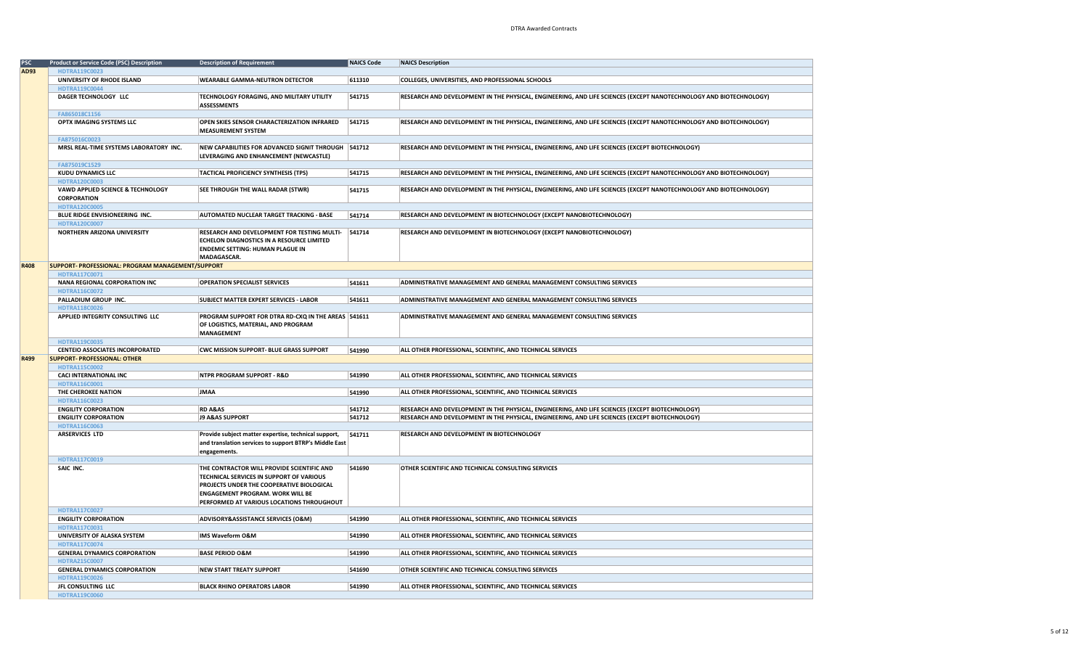| PSC  | <b>Product or Service Code (PSC) Description</b>  | <b>Description of Requirement</b>                      | NAICS Code | <b>NAICS Description</b>                                                                                           |
|------|---------------------------------------------------|--------------------------------------------------------|------------|--------------------------------------------------------------------------------------------------------------------|
| AD93 | HDTRA119C0023                                     |                                                        |            |                                                                                                                    |
|      | UNIVERSITY OF RHODE ISLAND                        | <b>WEARABLE GAMMA-NEUTRON DETECTOR</b>                 | 611310     | COLLEGES, UNIVERSITIES, AND PROFESSIONAL SCHOOLS                                                                   |
|      |                                                   |                                                        |            |                                                                                                                    |
|      | HDTRA119C0044                                     |                                                        |            |                                                                                                                    |
|      | DAGER TECHNOLOGY LLC                              | TECHNOLOGY FORAGING, AND MILITARY UTILITY              | 541715     | RESEARCH AND DEVELOPMENT IN THE PHYSICAL, ENGINEERING, AND LIFE SCIENCES (EXCEPT NANOTECHNOLOGY AND BIOTECHNOLOGY) |
|      |                                                   | <b>ASSESSMENTS</b>                                     |            |                                                                                                                    |
|      | FA865018C1156                                     |                                                        |            |                                                                                                                    |
|      | OPTX IMAGING SYSTEMS LLC                          | OPEN SKIES SENSOR CHARACTERIZATION INFRARED            | 541715     | RESEARCH AND DEVELOPMENT IN THE PHYSICAL, ENGINEERING, AND LIFE SCIENCES (EXCEPT NANOTECHNOLOGY AND BIOTECHNOLOGY) |
|      |                                                   | <b>MEASUREMENT SYSTEM</b>                              |            |                                                                                                                    |
|      | FA875016C0023                                     |                                                        |            |                                                                                                                    |
|      | MRSL REAL-TIME SYSTEMS LABORATORY INC.            | NEW CAPABILITIES FOR ADVANCED SIGNIT THROUGH 541712    |            | RESEARCH AND DEVELOPMENT IN THE PHYSICAL, ENGINEERING, AND LIFE SCIENCES (EXCEPT BIOTECHNOLOGY)                    |
|      |                                                   | LEVERAGING AND ENHANCEMENT (NEWCASTLE)                 |            |                                                                                                                    |
|      | FA875019C1529                                     |                                                        |            |                                                                                                                    |
|      | <b>KUDU DYNAMICS LLC</b>                          | <b>TACTICAL PROFICIENCY SYNTHESIS (TPS)</b>            | 541715     | RESEARCH AND DEVELOPMENT IN THE PHYSICAL, ENGINEERING, AND LIFE SCIENCES (EXCEPT NANOTECHNOLOGY AND BIOTECHNOLOGY) |
|      |                                                   |                                                        |            |                                                                                                                    |
|      | HDTRA120C0003                                     |                                                        |            |                                                                                                                    |
|      | VAWD APPLIED SCIENCE & TECHNOLOGY                 | SEE THROUGH THE WALL RADAR (STWR)                      | 541715     | RESEARCH AND DEVELOPMENT IN THE PHYSICAL, ENGINEERING, AND LIFE SCIENCES (EXCEPT NANOTECHNOLOGY AND BIOTECHNOLOGY) |
|      | <b>CORPORATION</b>                                |                                                        |            |                                                                                                                    |
|      | <b>HDTRA120C0005</b>                              |                                                        |            |                                                                                                                    |
|      | BLUE RIDGE ENVISIONEERING INC.                    | <b>AUTOMATED NUCLEAR TARGET TRACKING - BASE</b>        | 541714     | RESEARCH AND DEVELOPMENT IN BIOTECHNOLOGY (EXCEPT NANOBIOTECHNOLOGY)                                               |
|      | HDTRA120C0007                                     |                                                        |            |                                                                                                                    |
|      | NORTHERN ARIZONA UNIVERSITY                       | <b>RESEARCH AND DEVELOPMENT FOR TESTING MULTI-</b>     | 541714     | RESEARCH AND DEVELOPMENT IN BIOTECHNOLOGY (EXCEPT NANOBIOTECHNOLOGY)                                               |
|      |                                                   | ECHELON DIAGNOSTICS IN A RESOURCE LIMITED              |            |                                                                                                                    |
|      |                                                   | <b>ENDEMIC SETTING: HUMAN PLAGUE IN</b>                |            |                                                                                                                    |
|      |                                                   | MADAGASCAR.                                            |            |                                                                                                                    |
| R408 | SUPPORT- PROFESSIONAL: PROGRAM MANAGEMENT/SUPPORT |                                                        |            |                                                                                                                    |
|      | HDTRA117C0071                                     |                                                        |            |                                                                                                                    |
|      | <b>NANA REGIONAL CORPORATION INC</b>              | <b>OPERATION SPECIALIST SERVICES</b>                   | 541611     | ADMINISTRATIVE MANAGEMENT AND GENERAL MANAGEMENT CONSULTING SERVICES                                               |
|      | HDTRA116C0072                                     |                                                        |            |                                                                                                                    |
|      | PALLADIUM GROUP INC.                              | <b>SUBJECT MATTER EXPERT SERVICES - LABOR</b>          | 541611     | <b>ADMINISTRATIVE MANAGEMENT AND GENERAL MANAGEMENT CONSULTING SERVICES</b>                                        |
|      | HDTRA118C0026                                     |                                                        |            |                                                                                                                    |
|      | APPLIED INTEGRITY CONSULTING LLC                  | PROGRAM SUPPORT FOR DTRA RD-CXQ IN THE AREAS 541611    |            | ADMINISTRATIVE MANAGEMENT AND GENERAL MANAGEMENT CONSULTING SERVICES                                               |
|      |                                                   | OF LOGISTICS, MATERIAL, AND PROGRAM                    |            |                                                                                                                    |
|      |                                                   | <b>MANAGEMENT</b>                                      |            |                                                                                                                    |
|      | HDTRA119C0035                                     |                                                        |            |                                                                                                                    |
|      | <b>CENTEIO ASSOCIATES INCORPORATED</b>            | CWC MISSION SUPPORT- BLUE GRASS SUPPORT                | 541990     | ALL OTHER PROFESSIONAL, SCIENTIFIC, AND TECHNICAL SERVICES                                                         |
|      | <b>SUPPORT- PROFESSIONAL: OTHER</b>               |                                                        |            |                                                                                                                    |
|      |                                                   |                                                        |            |                                                                                                                    |
|      |                                                   |                                                        |            |                                                                                                                    |
| R499 | <b>HDTRA115C0002</b>                              |                                                        |            |                                                                                                                    |
|      | <b>CACI INTERNATIONAL INC</b>                     | <b>NTPR PROGRAM SUPPORT - R&amp;D</b>                  | 541990     | ALL OTHER PROFESSIONAL, SCIENTIFIC, AND TECHNICAL SERVICES                                                         |
|      | HDTRA116C0001                                     |                                                        |            |                                                                                                                    |
|      | THE CHEROKEE NATION                               | <b>JMAA</b>                                            | 541990     | ALL OTHER PROFESSIONAL, SCIENTIFIC, AND TECHNICAL SERVICES                                                         |
|      | HDTRA116C0023                                     |                                                        |            |                                                                                                                    |
|      | <b>ENGILITY CORPORATION</b>                       | <b>RD A&amp;AS</b>                                     | 541712     | RESEARCH AND DEVELOPMENT IN THE PHYSICAL, ENGINEERING, AND LIFE SCIENCES (EXCEPT BIOTECHNOLOGY)                    |
|      | <b>ENGILITY CORPORATION</b>                       | <b>J9 A&amp;AS SUPPORT</b>                             | 541712     | RESEARCH AND DEVELOPMENT IN THE PHYSICAL, ENGINEERING, AND LIFE SCIENCES (EXCEPT BIOTECHNOLOGY)                    |
|      | HDTRA116C0063                                     |                                                        |            |                                                                                                                    |
|      | <b>ARSERVICES LTD</b>                             | Provide subject matter expertise, technical support,   | 541711     | RESEARCH AND DEVELOPMENT IN BIOTECHNOLOGY                                                                          |
|      |                                                   | and translation services to support BTRP's Middle East |            |                                                                                                                    |
|      |                                                   | engagements.                                           |            |                                                                                                                    |
|      | HDTRA117C0019                                     |                                                        |            |                                                                                                                    |
|      | SAIC INC.                                         | THE CONTRACTOR WILL PROVIDE SCIENTIFIC AND             | 541690     | OTHER SCIENTIFIC AND TECHNICAL CONSULTING SERVICES                                                                 |
|      |                                                   | TECHNICAL SERVICES IN SUPPORT OF VARIOUS               |            |                                                                                                                    |
|      |                                                   | PROJECTS UNDER THE COOPERATIVE BIOLOGICAL              |            |                                                                                                                    |
|      |                                                   | <b>ENGAGEMENT PROGRAM. WORK WILL BE</b>                |            |                                                                                                                    |
|      |                                                   | PERFORMED AT VARIOUS LOCATIONS THROUGHOUT              |            |                                                                                                                    |
|      | HDTRA117C0027                                     |                                                        |            |                                                                                                                    |
|      | <b>ENGILITY CORPORATION</b>                       | ADVISORY&ASSISTANCE SERVICES (O&M)                     | 541990     | ALL OTHER PROFESSIONAL, SCIENTIFIC, AND TECHNICAL SERVICES                                                         |
|      | HDTRA117C0031                                     |                                                        |            |                                                                                                                    |
|      | UNIVERSITY OF ALASKA SYSTEM                       | IMS Waveform O&M                                       | 541990     | ALL OTHER PROFESSIONAL, SCIENTIFIC, AND TECHNICAL SERVICES                                                         |
|      | HDTRA117C0074                                     |                                                        |            |                                                                                                                    |
|      |                                                   |                                                        |            |                                                                                                                    |
|      | <b>GENERAL DYNAMICS CORPORATION</b>               | <b>BASE PERIOD O&amp;M</b>                             | 541990     | ALL OTHER PROFESSIONAL, SCIENTIFIC, AND TECHNICAL SERVICES                                                         |
|      | HDTRA215C0007                                     |                                                        |            |                                                                                                                    |
|      | <b>GENERAL DYNAMICS CORPORATION</b>               | <b>NEW START TREATY SUPPORT</b>                        | 541690     | OTHER SCIENTIFIC AND TECHNICAL CONSULTING SERVICES                                                                 |
|      | HDTRA119C0026                                     |                                                        |            |                                                                                                                    |
|      | JFL CONSULTING LLC<br>HDTRA119C0060               | <b>BLACK RHINO OPERATORS LABOR</b>                     | 541990     | ALL OTHER PROFESSIONAL, SCIENTIFIC, AND TECHNICAL SERVICES                                                         |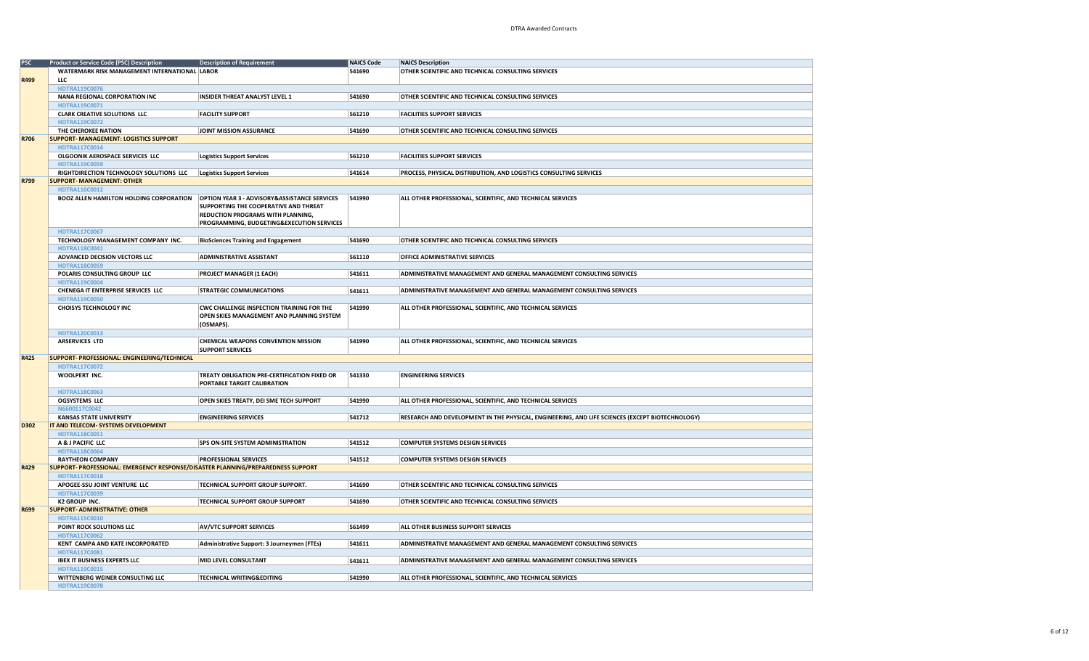| <b>PSC</b> | <b>Product or Service Code (PSC) Description</b>                                 | <b>Description of Requirement</b>                | <b>NAICS Code</b> | <b>NAICS Description</b>                                                                        |
|------------|----------------------------------------------------------------------------------|--------------------------------------------------|-------------------|-------------------------------------------------------------------------------------------------|
|            | WATERMARK RISK MANAGEMENT INTERNATIONAL LABOR                                    |                                                  | 541690            | OTHER SCIENTIFIC AND TECHNICAL CONSULTING SERVICES                                              |
| R499       | <b>LLC</b>                                                                       |                                                  |                   |                                                                                                 |
|            | HDTRA119C0076                                                                    |                                                  |                   |                                                                                                 |
|            | NANA REGIONAL CORPORATION INC                                                    | <b>INSIDER THREAT ANALYST LEVEL 1</b>            | 541690            | OTHER SCIENTIFIC AND TECHNICAL CONSULTING SERVICES                                              |
|            | HDTRA119C0071                                                                    |                                                  |                   |                                                                                                 |
|            | <b>CLARK CREATIVE SOLUTIONS LLC</b>                                              | <b>FACILITY SUPPORT</b>                          | 561210            | <b>FACILITIES SUPPORT SERVICES</b>                                                              |
|            | HDTRA119C0072                                                                    |                                                  |                   |                                                                                                 |
|            | THE CHEROKEE NATION                                                              | JOINT MISSION ASSURANCE                          | 541690            | OTHER SCIENTIFIC AND TECHNICAL CONSULTING SERVICES                                              |
| R706       | <b>SUPPORT- MANAGEMENT: LOGISTICS SUPPORT</b>                                    |                                                  |                   |                                                                                                 |
|            | HDTRA117C0014                                                                    |                                                  |                   |                                                                                                 |
|            | OLGOONIK AEROSPACE SERVICES LLC                                                  | <b>Logistics Support Services</b>                | 561210            | <b>FACILITIES SUPPORT SERVICES</b>                                                              |
|            | <b>HDTRA119C0059</b>                                                             |                                                  |                   |                                                                                                 |
|            | RIGHTDIRECTION TECHNOLOGY SOLUTIONS LLC                                          | <b>Logistics Support Services</b>                | 541614            | PROCESS, PHYSICAL DISTRIBUTION, AND LOGISTICS CONSULTING SERVICES                               |
| R799       | <b>SUPPORT- MANAGEMENT: OTHER</b>                                                |                                                  |                   |                                                                                                 |
|            | HDTRA116C0012                                                                    |                                                  |                   |                                                                                                 |
|            | BOOZ ALLEN HAMILTON HOLDING CORPORATION                                          | OPTION YEAR 3 - ADVISORY&ASSISTANCE SERVICES     | 541990            | ALL OTHER PROFESSIONAL, SCIENTIFIC, AND TECHNICAL SERVICES                                      |
|            |                                                                                  | SUPPORTING THE COOPERATIVE AND THREAT            |                   |                                                                                                 |
|            |                                                                                  | REDUCTION PROGRAMS WITH PLANNING,                |                   |                                                                                                 |
|            |                                                                                  | PROGRAMMING, BUDGETING&EXECUTION SERVICES        |                   |                                                                                                 |
|            | HDTRA117C0067                                                                    |                                                  |                   |                                                                                                 |
|            | TECHNOLOGY MANAGEMENT COMPANY INC.                                               | <b>BioSciences Training and Engagement</b>       | 541690            | OTHER SCIENTIFIC AND TECHNICAL CONSULTING SERVICES                                              |
|            | HDTRA118C0041                                                                    |                                                  |                   |                                                                                                 |
|            | ADVANCED DECISION VECTORS LLC                                                    | <b>ADMINISTRATIVE ASSISTANT</b>                  | 561110            | <b>OFFICE ADMINISTRATIVE SERVICES</b>                                                           |
|            | HDTRA118C0059                                                                    |                                                  |                   |                                                                                                 |
|            | POLARIS CONSULTING GROUP LLC                                                     | <b>PROJECT MANAGER (1 EACH)</b>                  | 541611            | ADMINISTRATIVE MANAGEMENT AND GENERAL MANAGEMENT CONSULTING SERVICES                            |
|            | <b>HDTRA119C0004</b>                                                             |                                                  |                   |                                                                                                 |
|            | CHENEGA IT ENTERPRISE SERVICES LLC                                               | <b>STRATEGIC COMMUNICATIONS</b>                  | 541611            | ADMINISTRATIVE MANAGEMENT AND GENERAL MANAGEMENT CONSULTING SERVICES                            |
|            | HDTRA119C0050                                                                    |                                                  |                   |                                                                                                 |
|            | <b>CHOISYS TECHNOLOGY INC</b>                                                    | <b>CWC CHALLENGE INSPECTION TRAINING FOR THE</b> | 541990            | ALL OTHER PROFESSIONAL, SCIENTIFIC, AND TECHNICAL SERVICES                                      |
|            |                                                                                  | OPEN SKIES MANAGEMENT AND PLANNING SYSTEM        |                   |                                                                                                 |
|            |                                                                                  | (OSMAPS).                                        |                   |                                                                                                 |
|            | HDTRA120C0013                                                                    |                                                  |                   |                                                                                                 |
|            | <b>ARSERVICES LTD</b>                                                            | CHEMICAL WEAPONS CONVENTION MISSION              | 541990            | ALL OTHER PROFESSIONAL, SCIENTIFIC, AND TECHNICAL SERVICES                                      |
|            |                                                                                  | <b>SUPPORT SERVICES</b>                          |                   |                                                                                                 |
| R425       | SUPPORT- PROFESSIONAL: ENGINEERING/TECHNICAL                                     |                                                  |                   |                                                                                                 |
|            | HDTRA117C0072                                                                    |                                                  |                   |                                                                                                 |
|            | WOOLPERT INC.                                                                    | TREATY OBLIGATION PRE-CERTIFICATION FIXED OR     | 541330            | <b>ENGINEERING SERVICES</b>                                                                     |
|            |                                                                                  | PORTABLE TARGET CALIBRATION                      |                   |                                                                                                 |
|            | HDTRA118C0063                                                                    |                                                  |                   |                                                                                                 |
|            | <b>OGSYSTEMS LLC</b>                                                             | OPEN SKIES TREATY, DEI SME TECH SUPPORT          | 541990            | ALL OTHER PROFESSIONAL, SCIENTIFIC, AND TECHNICAL SERVICES                                      |
|            | N6600117C0042                                                                    |                                                  |                   |                                                                                                 |
|            | <b>KANSAS STATE UNIVERSITY</b>                                                   | <b>ENGINEERING SERVICES</b>                      | 541712            | RESEARCH AND DEVELOPMENT IN THE PHYSICAL, ENGINEERING, AND LIFE SCIENCES (EXCEPT BIOTECHNOLOGY) |
| D302       | IT AND TELECOM- SYSTEMS DEVELOPMENT                                              |                                                  |                   |                                                                                                 |
|            | HDTRA118C0051                                                                    |                                                  |                   |                                                                                                 |
|            | A & J PACIFIC LLC                                                                | <b>SPS ON-SITE SYSTEM ADMINISTRATION</b>         | 541512            | <b>COMPUTER SYSTEMS DESIGN SERVICES</b>                                                         |
|            | HDTRA118C0064                                                                    |                                                  |                   |                                                                                                 |
|            | <b>RAYTHEON COMPANY</b>                                                          | <b>PROFESSIONAL SERVICES</b>                     | 541512            | <b>COMPUTER SYSTEMS DESIGN SERVICES</b>                                                         |
| R429       | SUPPORT- PROFESSIONAL: EMERGENCY RESPONSE/DISASTER PLANNING/PREPAREDNESS SUPPORT |                                                  |                   |                                                                                                 |
|            | <b>HDTRA117C0018</b>                                                             | <b>TECHNICAL SUPPORT GROUP SUPPORT.</b>          |                   | OTHER SCIENTIFIC AND TECHNICAL CONSULTING SERVICES                                              |
|            | APOGEE-SSU JOINT VENTURE LLC<br>HDTRA117C0039                                    |                                                  | 541690            |                                                                                                 |
|            | <b>K2 GROUP INC.</b>                                                             | <b>TECHNICAL SUPPORT GROUP SUPPORT</b>           | 541690            | OTHER SCIENTIFIC AND TECHNICAL CONSULTING SERVICES                                              |
| R699       | <b>SUPPORT- ADMINISTRATIVE: OTHER</b>                                            |                                                  |                   |                                                                                                 |
|            | HDTRA115C0010                                                                    |                                                  |                   |                                                                                                 |
|            | POINT ROCK SOLUTIONS LLC                                                         | <b>AV/VTC SUPPORT SERVICES</b>                   | 561499            | ALL OTHER BUSINESS SUPPORT SERVICES                                                             |
|            |                                                                                  |                                                  |                   |                                                                                                 |
|            | HDTRA117C0062<br>KENT CAMPA AND KATE INCORPORATED                                |                                                  | 541611            | ADMINISTRATIVE MANAGEMENT AND GENERAL MANAGEMENT CONSULTING SERVICES                            |
|            | HDTRA117C0081                                                                    | Administrative Support: 3 Journeymen (FTEs)      |                   |                                                                                                 |
|            | <b>IBEX IT BUSINESS EXPERTS LLC</b>                                              | MID LEVEL CONSULTANT                             | 541611            | ADMINISTRATIVE MANAGEMENT AND GENERAL MANAGEMENT CONSULTING SERVICES                            |
|            | HDTRA119C0015                                                                    |                                                  |                   |                                                                                                 |
|            | WITTENBERG WEINER CONSULTING LLC                                                 | <b>TECHNICAL WRITING&amp;EDITING</b>             | 541990            | ALL OTHER PROFESSIONAL, SCIENTIFIC, AND TECHNICAL SERVICES                                      |
|            | <b>HDTRA119C0078</b>                                                             |                                                  |                   |                                                                                                 |
|            |                                                                                  |                                                  |                   |                                                                                                 |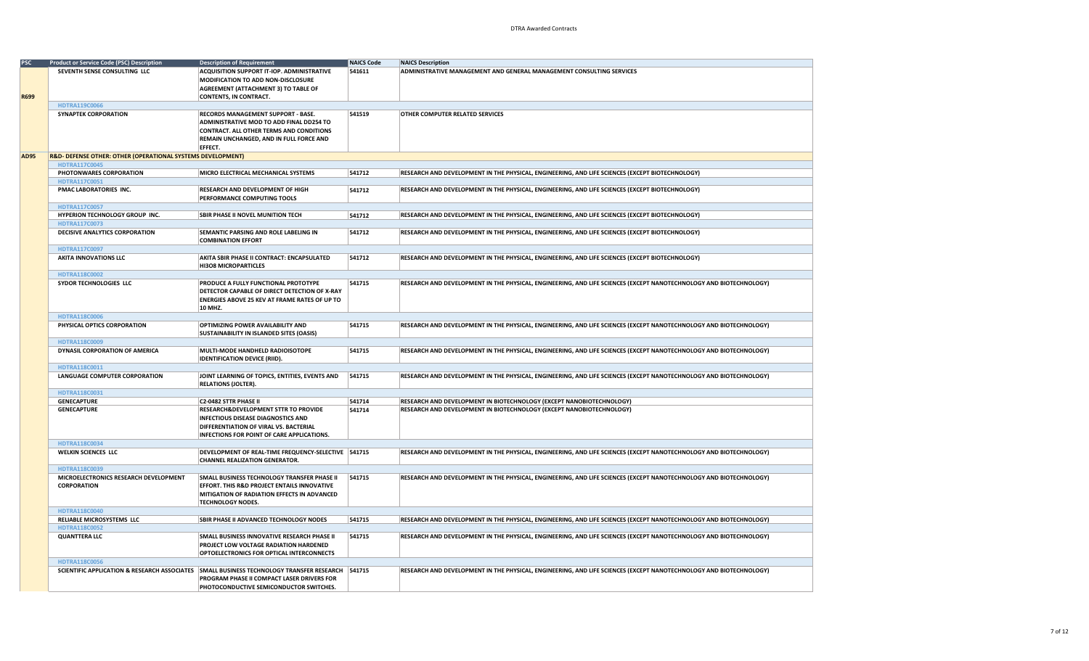| PSC  | <b>Product or Service Code (PSC) Description</b>            | <b>Description of Requirement</b>                                                               | <b>NAICS Code</b> | <b>NAICS Description</b>                                                                                           |
|------|-------------------------------------------------------------|-------------------------------------------------------------------------------------------------|-------------------|--------------------------------------------------------------------------------------------------------------------|
|      | SEVENTH SENSE CONSULTING LLC                                | ACQUISITION SUPPORT IT-IOP. ADMINISTRATIVE                                                      | 541611            | ADMINISTRATIVE MANAGEMENT AND GENERAL MANAGEMENT CONSULTING SERVICES                                               |
|      |                                                             | MODIFICATION TO ADD NON-DISCLOSURE                                                              |                   |                                                                                                                    |
|      |                                                             | AGREEMENT (ATTACHMENT 3) TO TABLE OF                                                            |                   |                                                                                                                    |
| R699 |                                                             | <b>CONTENTS, IN CONTRACT.</b>                                                                   |                   |                                                                                                                    |
|      | HDTRA119C0066                                               |                                                                                                 |                   |                                                                                                                    |
|      | <b>SYNAPTEK CORPORATION</b>                                 | RECORDS MANAGEMENT SUPPORT - BASE.                                                              | 541519            | OTHER COMPUTER RELATED SERVICES                                                                                    |
|      |                                                             | ADMINISTRATIVE MOD TO ADD FINAL DD254 TO                                                        |                   |                                                                                                                    |
|      |                                                             | <b>CONTRACT. ALL OTHER TERMS AND CONDITIONS</b>                                                 |                   |                                                                                                                    |
|      |                                                             | REMAIN UNCHANGED, AND IN FULL FORCE AND                                                         |                   |                                                                                                                    |
|      |                                                             | EFFECT.                                                                                         |                   |                                                                                                                    |
| AD95 | R&D- DEFENSE OTHER: OTHER (OPERATIONAL SYSTEMS DEVELOPMENT) |                                                                                                 |                   |                                                                                                                    |
|      | <b>HDTRA117C0045</b>                                        |                                                                                                 |                   |                                                                                                                    |
|      | PHOTONWARES CORPORATION                                     | MICRO ELECTRICAL MECHANICAL SYSTEMS                                                             | 541712            | RESEARCH AND DEVELOPMENT IN THE PHYSICAL, ENGINEERING, AND LIFE SCIENCES (EXCEPT BIOTECHNOLOGY)                    |
|      | HDTRA117C0051                                               |                                                                                                 |                   |                                                                                                                    |
|      | PMAC LABORATORIES INC.                                      | RESEARCH AND DEVELOPMENT OF HIGH                                                                | 541712            | RESEARCH AND DEVELOPMENT IN THE PHYSICAL, ENGINEERING, AND LIFE SCIENCES (EXCEPT BIOTECHNOLOGY)                    |
|      |                                                             | PERFORMANCE COMPUTING TOOLS                                                                     |                   |                                                                                                                    |
|      | HDTRA117C0057                                               |                                                                                                 |                   |                                                                                                                    |
|      | HYPERION TECHNOLOGY GROUP INC.                              | <b>SBIR PHASE II NOVEL MUNITION TECH</b>                                                        | 541712            | RESEARCH AND DEVELOPMENT IN THE PHYSICAL, ENGINEERING, AND LIFE SCIENCES (EXCEPT BIOTECHNOLOGY)                    |
|      | HDTRA117C0073                                               |                                                                                                 |                   |                                                                                                                    |
|      | DECISIVE ANALYTICS CORPORATION                              | SEMANTIC PARSING AND ROLE LABELING IN                                                           | 541712            | RESEARCH AND DEVELOPMENT IN THE PHYSICAL, ENGINEERING, AND LIFE SCIENCES (EXCEPT BIOTECHNOLOGY)                    |
|      |                                                             | <b>COMBINATION EFFORT</b>                                                                       |                   |                                                                                                                    |
|      | HDTRA117C0097                                               |                                                                                                 |                   |                                                                                                                    |
|      | <b>AKITA INNOVATIONS LLC</b>                                | AKITA SBIR PHASE II CONTRACT: ENCAPSULATED                                                      | 541712            | RESEARCH AND DEVELOPMENT IN THE PHYSICAL, ENGINEERING, AND LIFE SCIENCES (EXCEPT BIOTECHNOLOGY)                    |
|      |                                                             | <b>HI3O8 MICROPARTICLES</b>                                                                     |                   |                                                                                                                    |
|      | HDTRA118C0002                                               |                                                                                                 |                   |                                                                                                                    |
|      | SYDOR TECHNOLOGIES LLC                                      | PRODUCE A FULLY FUNCTIONAL PROTOTYPE                                                            | 541715            | RESEARCH AND DEVELOPMENT IN THE PHYSICAL, ENGINEERING, AND LIFE SCIENCES (EXCEPT NANOTECHNOLOGY AND BIOTECHNOLOGY) |
|      |                                                             | DETECTOR CAPABLE OF DIRECT DETECTION OF X-RAY                                                   |                   |                                                                                                                    |
|      |                                                             | ENERGIES ABOVE 25 KEV AT FRAME RATES OF UP TO                                                   |                   |                                                                                                                    |
|      |                                                             | 10 MHZ.                                                                                         |                   |                                                                                                                    |
|      | HDTRA118C0006                                               |                                                                                                 |                   |                                                                                                                    |
|      | PHYSICAL OPTICS CORPORATION                                 | OPTIMIZING POWER AVAILABILITY AND                                                               | 541715            | RESEARCH AND DEVELOPMENT IN THE PHYSICAL, ENGINEERING, AND LIFE SCIENCES (EXCEPT NANOTECHNOLOGY AND BIOTECHNOLOGY) |
|      |                                                             | SUSTAINABILITY IN ISLANDED SITES (OASIS)                                                        |                   |                                                                                                                    |
|      | HDTRA118C0009                                               |                                                                                                 |                   |                                                                                                                    |
|      | DYNASIL CORPORATION OF AMERICA                              | MULTI-MODE HANDHELD RADIOISOTOPE                                                                | 541715            | RESEARCH AND DEVELOPMENT IN THE PHYSICAL, ENGINEERING, AND LIFE SCIENCES (EXCEPT NANOTECHNOLOGY AND BIOTECHNOLOGY) |
|      |                                                             | <b>IDENTIFICATION DEVICE (RIID).</b>                                                            |                   |                                                                                                                    |
|      | HDTRA118C0011                                               |                                                                                                 |                   |                                                                                                                    |
|      | <b>LANGUAGE COMPUTER CORPORATION</b>                        | JOINT LEARNING OF TOPICS, ENTITIES, EVENTS AND                                                  | 541715            | RESEARCH AND DEVELOPMENT IN THE PHYSICAL, ENGINEERING, AND LIFE SCIENCES (EXCEPT NANOTECHNOLOGY AND BIOTECHNOLOGY) |
|      |                                                             | <b>RELATIONS (JOLTER).</b>                                                                      |                   |                                                                                                                    |
|      | HDTRA118C0031                                               |                                                                                                 |                   |                                                                                                                    |
|      | <b>GENECAPTURE</b>                                          | C2-0482 STTR PHASE II                                                                           | 541714            | RESEARCH AND DEVELOPMENT IN BIOTECHNOLOGY (EXCEPT NANOBIOTECHNOLOGY)                                               |
|      | <b>GENECAPTURE</b>                                          | RESEARCH&DEVELOPMENT STTR TO PROVIDE                                                            | 541714            | RESEARCH AND DEVELOPMENT IN BIOTECHNOLOGY (EXCEPT NANOBIOTECHNOLOGY)                                               |
|      |                                                             | <b>INFECTIOUS DISEASE DIAGNOSTICS AND</b>                                                       |                   |                                                                                                                    |
|      |                                                             | DIFFERENTIATION OF VIRAL VS. BACTERIAL                                                          |                   |                                                                                                                    |
|      |                                                             | INFECTIONS FOR POINT OF CARE APPLICATIONS.                                                      |                   |                                                                                                                    |
|      | HDTRA118C0034                                               |                                                                                                 |                   |                                                                                                                    |
|      | <b>WELKIN SCIENCES LLC</b>                                  | DEVELOPMENT OF REAL-TIME FREQUENCY-SELECTIVE   541715                                           |                   | RESEARCH AND DEVELOPMENT IN THE PHYSICAL, ENGINEERING, AND LIFE SCIENCES (EXCEPT NANOTECHNOLOGY AND BIOTECHNOLOGY) |
|      |                                                             | <b>CHANNEL REALIZATION GENERATOR.</b>                                                           |                   |                                                                                                                    |
|      | HDTRA118C0039                                               |                                                                                                 |                   |                                                                                                                    |
|      | MICROELECTRONICS RESEARCH DEVELOPMENT                       | SMALL BUSINESS TECHNOLOGY TRANSFER PHASE II                                                     | 541715            | RESEARCH AND DEVELOPMENT IN THE PHYSICAL, ENGINEERING, AND LIFE SCIENCES (EXCEPT NANOTECHNOLOGY AND BIOTECHNOLOGY) |
|      | <b>CORPORATION</b>                                          | EFFORT. THIS R&D PROJECT ENTAILS INNOVATIVE                                                     |                   |                                                                                                                    |
|      |                                                             | MITIGATION OF RADIATION EFFECTS IN ADVANCED                                                     |                   |                                                                                                                    |
|      |                                                             | <b>TECHNOLOGY NODES.</b>                                                                        |                   |                                                                                                                    |
|      | HDTRA118C0040                                               |                                                                                                 |                   |                                                                                                                    |
|      | RELIABLE MICROSYSTEMS LLC                                   | SBIR PHASE II ADVANCED TECHNOLOGY NODES                                                         | 541715            | RESEARCH AND DEVELOPMENT IN THE PHYSICAL, ENGINEERING, AND LIFE SCIENCES (EXCEPT NANOTECHNOLOGY AND BIOTECHNOLOGY) |
|      | HDTRA118C0052                                               |                                                                                                 |                   |                                                                                                                    |
|      | <b>QUANTTERA LLC</b>                                        | SMALL BUSINESS INNOVATIVE RESEARCH PHASE II                                                     | 541715            | RESEARCH AND DEVELOPMENT IN THE PHYSICAL, ENGINEERING, AND LIFE SCIENCES (EXCEPT NANOTECHNOLOGY AND BIOTECHNOLOGY) |
|      |                                                             | PROJECT LOW VOLTAGE RADIATION HARDENED                                                          |                   |                                                                                                                    |
|      |                                                             | OPTOELECTRONICS FOR OPTICAL INTERCONNECTS                                                       |                   |                                                                                                                    |
|      | HDTRA118C0056                                               |                                                                                                 |                   |                                                                                                                    |
|      |                                                             | SCIENTIFIC APPLICATION & RESEARCH ASSOCIATES SMALL BUSINESS TECHNOLOGY TRANSFER RESEARCH 541715 |                   | RESEARCH AND DEVELOPMENT IN THE PHYSICAL, ENGINEERING, AND LIFE SCIENCES (EXCEPT NANOTECHNOLOGY AND BIOTECHNOLOGY) |
|      |                                                             | PROGRAM PHASE II COMPACT LASER DRIVERS FOR                                                      |                   |                                                                                                                    |
|      |                                                             | PHOTOCONDUCTIVE SEMICONDUCTOR SWITCHES.                                                         |                   |                                                                                                                    |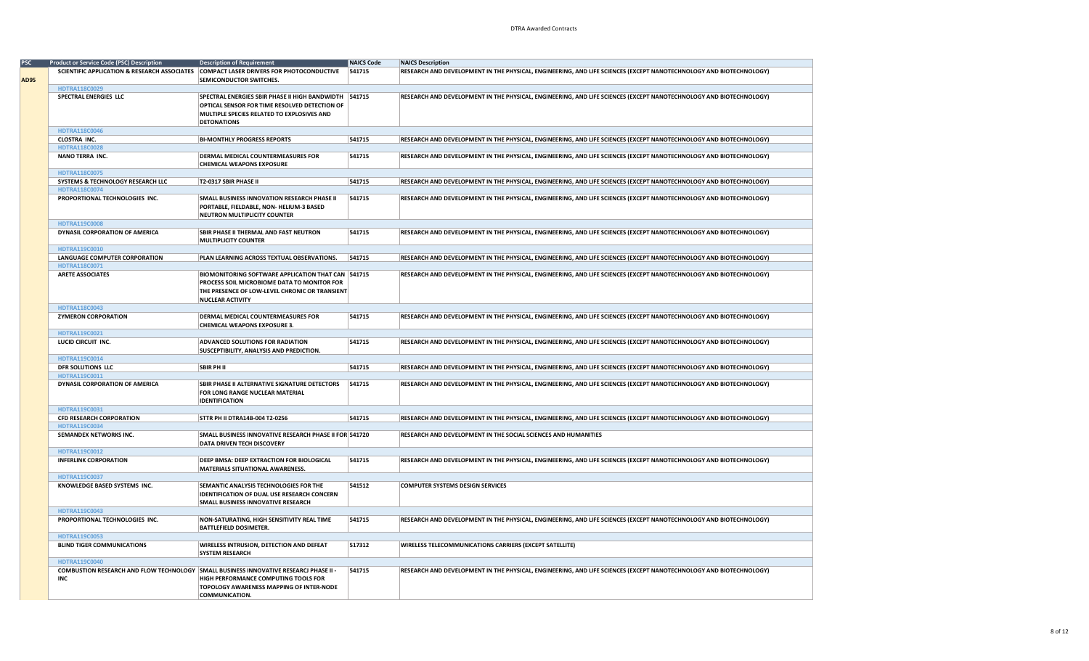|             | <b>Product or Service Code (PSC) Description</b>                                             | <b>Description of Requirement</b>                                                                                                                                              | <b>NAICS Code</b> | <b>NAICS Description</b>                                                                                           |
|-------------|----------------------------------------------------------------------------------------------|--------------------------------------------------------------------------------------------------------------------------------------------------------------------------------|-------------------|--------------------------------------------------------------------------------------------------------------------|
| <b>AD95</b> |                                                                                              | SCIENTIFIC APPLICATION & RESEARCH ASSOCIATES COMPACT LASER DRIVERS FOR PHOTOCONDUCTIVE<br>SEMICONDUCTOR SWITCHES.                                                              | 541715            | RESEARCH AND DEVELOPMENT IN THE PHYSICAL, ENGINEERING, AND LIFE SCIENCES (EXCEPT NANOTECHNOLOGY AND BIOTECHNOLOGY) |
|             | HDTRA118C0029                                                                                |                                                                                                                                                                                |                   |                                                                                                                    |
|             | SPECTRAL ENERGIES LLC                                                                        | SPECTRAL ENERGIES SBIR PHASE II HIGH BANDWIDTH   541715<br>OPTICAL SENSOR FOR TIME RESOLVED DETECTION OF<br>MULTIPLE SPECIES RELATED TO EXPLOSIVES AND<br><b>DETONATIONS</b>   |                   | RESEARCH AND DEVELOPMENT IN THE PHYSICAL, ENGINEERING, AND LIFE SCIENCES (EXCEPT NANOTECHNOLOGY AND BIOTECHNOLOGY) |
|             | HDTRA118C0046                                                                                |                                                                                                                                                                                |                   |                                                                                                                    |
|             | CLOSTRA INC.<br><b>HDTRA118C0028</b>                                                         | <b>BI-MONTHLY PROGRESS REPORTS</b>                                                                                                                                             | 541715            | RESEARCH AND DEVELOPMENT IN THE PHYSICAL, ENGINEERING, AND LIFE SCIENCES (EXCEPT NANOTECHNOLOGY AND BIOTECHNOLOGY) |
|             | NANO TERRA INC.                                                                              | DERMAL MEDICAL COUNTERMEASURES FOR<br><b>CHEMICAL WEAPONS EXPOSURE</b>                                                                                                         | 541715            | RESEARCH AND DEVELOPMENT IN THE PHYSICAL, ENGINEERING, AND LIFE SCIENCES (EXCEPT NANOTECHNOLOGY AND BIOTECHNOLOGY) |
|             | HDTRA118C0075                                                                                |                                                                                                                                                                                |                   |                                                                                                                    |
|             | SYSTEMS & TECHNOLOGY RESEARCH LLC                                                            | T2-0317 SBIR PHASE II                                                                                                                                                          | 541715            | RESEARCH AND DEVELOPMENT IN THE PHYSICAL, ENGINEERING, AND LIFE SCIENCES (EXCEPT NANOTECHNOLOGY AND BIOTECHNOLOGY) |
|             | HDTRA118C0074<br>PROPORTIONAL TECHNOLOGIES INC.                                              | SMALL BUSINESS INNOVATION RESEARCH PHASE II<br>PORTABLE, FIELDABLE, NON-HELIUM-3 BASED<br>NEUTRON MULTIPLICITY COUNTER                                                         | 541715            | RESEARCH AND DEVELOPMENT IN THE PHYSICAL, ENGINEERING, AND LIFE SCIENCES (EXCEPT NANOTECHNOLOGY AND BIOTECHNOLOGY) |
|             | <b>HDTRA119C0008</b>                                                                         |                                                                                                                                                                                |                   |                                                                                                                    |
|             | DYNASIL CORPORATION OF AMERICA                                                               | SBIR PHASE II THERMAL AND FAST NEUTRON<br><b>MULTIPLICITY COUNTER</b>                                                                                                          | 541715            | RESEARCH AND DEVELOPMENT IN THE PHYSICAL, ENGINEERING, AND LIFE SCIENCES (EXCEPT NANOTECHNOLOGY AND BIOTECHNOLOGY) |
|             | HDTRA119C0010                                                                                |                                                                                                                                                                                |                   |                                                                                                                    |
|             | <b>LANGUAGE COMPUTER CORPORATION</b>                                                         | PLAN LEARNING ACROSS TEXTUAL OBSERVATIONS.                                                                                                                                     | 541715            | RESEARCH AND DEVELOPMENT IN THE PHYSICAL, ENGINEERING, AND LIFE SCIENCES (EXCEPT NANOTECHNOLOGY AND BIOTECHNOLOGY) |
|             | HDTRA118C0071                                                                                |                                                                                                                                                                                |                   |                                                                                                                    |
|             | <b>ARETE ASSOCIATES</b>                                                                      | BIOMONITORING SOFTWARE APPLICATION THAT CAN 541715<br>PROCESS SOIL MICROBIOME DATA TO MONITOR FOR<br>THE PRESENCE OF LOW-LEVEL CHRONIC OR TRANSIENT<br><b>NUCLEAR ACTIVITY</b> |                   | RESEARCH AND DEVELOPMENT IN THE PHYSICAL, ENGINEERING, AND LIFE SCIENCES (EXCEPT NANOTECHNOLOGY AND BIOTECHNOLOGY) |
|             | HDTRA118C0043                                                                                |                                                                                                                                                                                |                   |                                                                                                                    |
|             | <b>ZYMERON CORPORATION</b>                                                                   | DERMAL MEDICAL COUNTERMEASURES FOR<br><b>CHEMICAL WEAPONS EXPOSURE 3.</b>                                                                                                      | 541715            | RESEARCH AND DEVELOPMENT IN THE PHYSICAL, ENGINEERING, AND LIFE SCIENCES (EXCEPT NANOTECHNOLOGY AND BIOTECHNOLOGY) |
|             | HDTRA119C0021                                                                                |                                                                                                                                                                                |                   |                                                                                                                    |
|             | LUCID CIRCUIT INC.                                                                           | ADVANCED SOLUTIONS FOR RADIATION<br>SUSCEPTIBILITY, ANALYSIS AND PREDICTION.                                                                                                   | 541715            | RESEARCH AND DEVELOPMENT IN THE PHYSICAL, ENGINEERING, AND LIFE SCIENCES (EXCEPT NANOTECHNOLOGY AND BIOTECHNOLOGY) |
|             | HDTRA119C0014                                                                                |                                                                                                                                                                                |                   |                                                                                                                    |
|             | DFR SOLUTIONS LLC                                                                            | <b>SBIR PH II</b>                                                                                                                                                              | 541715            | RESEARCH AND DEVELOPMENT IN THE PHYSICAL, ENGINEERING, AND LIFE SCIENCES (EXCEPT NANOTECHNOLOGY AND BIOTECHNOLOGY) |
|             | HDTRA119C0011                                                                                |                                                                                                                                                                                |                   |                                                                                                                    |
|             | DYNASIL CORPORATION OF AMERICA                                                               | SBIR PHASE II ALTERNATIVE SIGNATURE DETECTORS<br>FOR LONG RANGE NUCLEAR MATERIAL<br><b>IDENTIFICATION</b>                                                                      | 541715            | RESEARCH AND DEVELOPMENT IN THE PHYSICAL, ENGINEERING, AND LIFE SCIENCES (EXCEPT NANOTECHNOLOGY AND BIOTECHNOLOGY) |
|             | HDTRA119C0031                                                                                |                                                                                                                                                                                |                   |                                                                                                                    |
|             | CFD RESEARCH CORPORATION                                                                     | <b>STTR PH II DTRA14B-004 T2-0256</b>                                                                                                                                          | 541715            | RESEARCH AND DEVELOPMENT IN THE PHYSICAL, ENGINEERING, AND LIFE SCIENCES (EXCEPT NANOTECHNOLOGY AND BIOTECHNOLOGY) |
|             | HDTRA119C0034<br>SEMANDEX NETWORKS INC.                                                      | SMALL BUSINESS INNOVATIVE RESEARCH PHASE II FOR 541720<br>DATA DRIVEN TECH DISCOVERY                                                                                           |                   | RESEARCH AND DEVELOPMENT IN THE SOCIAL SCIENCES AND HUMANITIES                                                     |
|             | HDTRA119C0012                                                                                |                                                                                                                                                                                |                   |                                                                                                                    |
|             | <b>INFERLINK CORPORATION</b>                                                                 | DEEP BMSA: DEEP EXTRACTION FOR BIOLOGICAL<br>MATERIALS SITUATIONAL AWARENESS.                                                                                                  | 541715            | RESEARCH AND DEVELOPMENT IN THE PHYSICAL, ENGINEERING, AND LIFE SCIENCES (EXCEPT NANOTECHNOLOGY AND BIOTECHNOLOGY) |
|             | HDTRA119C0037                                                                                |                                                                                                                                                                                |                   |                                                                                                                    |
|             | KNOWLEDGE BASED SYSTEMS INC.                                                                 | SEMANTIC ANALYSIS TECHNOLOGIES FOR THE<br><b>IDENTIFICATION OF DUAL USE RESEARCH CONCERN</b><br>SMALL BUSINESS INNOVATIVE RESEARCH                                             | 541512            | <b>COMPUTER SYSTEMS DESIGN SERVICES</b>                                                                            |
|             | <b>HDTRA119C0043</b>                                                                         |                                                                                                                                                                                |                   |                                                                                                                    |
|             | PROPORTIONAL TECHNOLOGIES INC.                                                               | NON-SATURATING, HIGH SENSITIVITY REAL TIME<br><b>BATTLEFIELD DOSIMETER.</b>                                                                                                    | 541715            | RESEARCH AND DEVELOPMENT IN THE PHYSICAL, ENGINEERING, AND LIFE SCIENCES (EXCEPT NANOTECHNOLOGY AND BIOTECHNOLOGY) |
|             | HDTRA119C0053                                                                                |                                                                                                                                                                                |                   |                                                                                                                    |
|             | <b>BLIND TIGER COMMUNICATIONS</b>                                                            | WIRELESS INTRUSION, DETECTION AND DEFEAT<br><b>SYSTEM RESEARCH</b>                                                                                                             | 517312            | WIRELESS TELECOMMUNICATIONS CARRIERS (EXCEPT SATELLITE)                                                            |
|             | HDTRA119C0040                                                                                |                                                                                                                                                                                |                   |                                                                                                                    |
|             | COMBUSTION RESEARCH AND FLOW TECHNOLOGY SMALL BUSINESS INNOVATIVE RESEARCJ PHASE II -<br>INC | HIGH PERFORMANCE COMPUTING TOOLS FOR<br>TOPOLOGY AWARENESS MAPPING OF INTER-NODE<br><b>COMMUNICATION.</b>                                                                      | 541715            | RESEARCH AND DEVELOPMENT IN THE PHYSICAL, ENGINEERING, AND LIFE SCIENCES (EXCEPT NANOTECHNOLOGY AND BIOTECHNOLOGY) |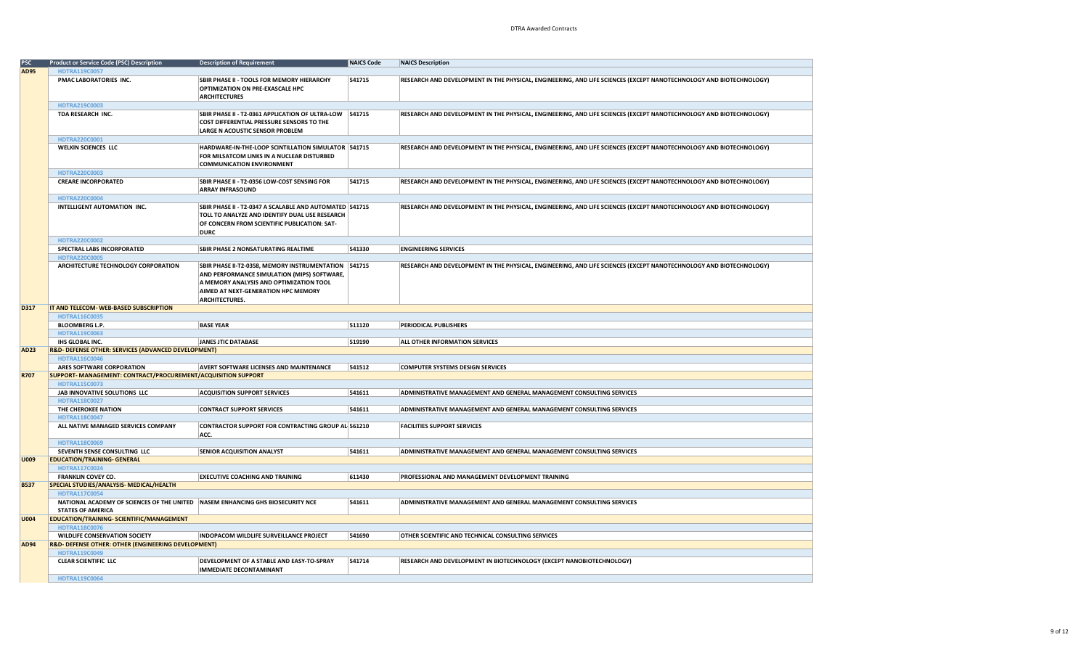| PSC         | <b>Product or Service Code (PSC) Description</b>                                 | <b>Description of Requirement</b>                       | <b>NAICS Code</b> | <b>NAICS Description</b>                                                                                           |  |  |  |
|-------------|----------------------------------------------------------------------------------|---------------------------------------------------------|-------------------|--------------------------------------------------------------------------------------------------------------------|--|--|--|
|             |                                                                                  |                                                         |                   |                                                                                                                    |  |  |  |
| AD95        | HDTRA119C0057                                                                    |                                                         |                   |                                                                                                                    |  |  |  |
|             | PMAC LABORATORIES INC.                                                           | SBIR PHASE II - TOOLS FOR MEMORY HIERARCHY              | 541715            | RESEARCH AND DEVELOPMENT IN THE PHYSICAL, ENGINEERING, AND LIFE SCIENCES (EXCEPT NANOTECHNOLOGY AND BIOTECHNOLOGY) |  |  |  |
|             |                                                                                  | OPTIMIZATION ON PRE-EXASCALE HPC                        |                   |                                                                                                                    |  |  |  |
|             |                                                                                  | <b>ARCHITECTURES</b>                                    |                   |                                                                                                                    |  |  |  |
|             | HDTRA219C0003                                                                    |                                                         |                   |                                                                                                                    |  |  |  |
|             |                                                                                  |                                                         |                   |                                                                                                                    |  |  |  |
|             | TDA RESEARCH INC.                                                                | SBIR PHASE II - T2-0361 APPLICATION OF ULTRA-LOW 541715 |                   | RESEARCH AND DEVELOPMENT IN THE PHYSICAL, ENGINEERING, AND LIFE SCIENCES (EXCEPT NANOTECHNOLOGY AND BIOTECHNOLOGY) |  |  |  |
|             |                                                                                  | COST DIFFERENTIAL PRESSURE SENSORS TO THE               |                   |                                                                                                                    |  |  |  |
|             |                                                                                  | LARGE N ACOUSTIC SENSOR PROBLEM                         |                   |                                                                                                                    |  |  |  |
|             | HDTRA220C0001                                                                    |                                                         |                   |                                                                                                                    |  |  |  |
|             | WELKIN SCIENCES LLC                                                              | HARDWARE-IN-THE-LOOP SCINTILLATION SIMULATOR   541715   |                   | RESEARCH AND DEVELOPMENT IN THE PHYSICAL, ENGINEERING, AND LIFE SCIENCES (EXCEPT NANOTECHNOLOGY AND BIOTECHNOLOGY) |  |  |  |
|             |                                                                                  | FOR MILSATCOM LINKS IN A NUCLEAR DISTURBED              |                   |                                                                                                                    |  |  |  |
|             |                                                                                  |                                                         |                   |                                                                                                                    |  |  |  |
|             |                                                                                  | <b>COMMUNICATION ENVIRONMENT</b>                        |                   |                                                                                                                    |  |  |  |
|             | HDTRA220C0003                                                                    |                                                         |                   |                                                                                                                    |  |  |  |
|             | <b>CREARE INCORPORATED</b>                                                       | SBIR PHASE II - T2-0356 LOW-COST SENSING FOR            | 541715            | RESEARCH AND DEVELOPMENT IN THE PHYSICAL, ENGINEERING, AND LIFE SCIENCES (EXCEPT NANOTECHNOLOGY AND BIOTECHNOLOGY) |  |  |  |
|             |                                                                                  | <b>ARRAY INFRASOUND</b>                                 |                   |                                                                                                                    |  |  |  |
|             | HDTRA220C0004                                                                    |                                                         |                   |                                                                                                                    |  |  |  |
|             | INTELLIGENT AUTOMATION INC.                                                      | SBIR PHASE II - T2-0347 A SCALABLE AND AUTOMATED 541715 |                   | RESEARCH AND DEVELOPMENT IN THE PHYSICAL, ENGINEERING, AND LIFE SCIENCES (EXCEPT NANOTECHNOLOGY AND BIOTECHNOLOGY) |  |  |  |
|             |                                                                                  |                                                         |                   |                                                                                                                    |  |  |  |
|             |                                                                                  | TOLL TO ANALYZE AND IDENTIFY DUAL USE RESEARCH          |                   |                                                                                                                    |  |  |  |
|             |                                                                                  | OF CONCERN FROM SCIENTIFIC PUBLICATION: SAT-            |                   |                                                                                                                    |  |  |  |
|             |                                                                                  | <b>DURC</b>                                             |                   |                                                                                                                    |  |  |  |
|             | HDTRA220C0002                                                                    |                                                         |                   |                                                                                                                    |  |  |  |
|             | SPECTRAL LABS INCORPORATED                                                       | <b>SBIR PHASE 2 NONSATURATING REALTIME</b>              | 541330            | <b>ENGINEERING SERVICES</b>                                                                                        |  |  |  |
|             | <b>HDTRA220C0005</b>                                                             |                                                         |                   |                                                                                                                    |  |  |  |
|             |                                                                                  |                                                         |                   |                                                                                                                    |  |  |  |
|             | ARCHITECTURE TECHNOLOGY CORPORATION                                              | SBIR PHASE II-T2-0358, MEMORY INSTRUMENTATION 541715    |                   | RESEARCH AND DEVELOPMENT IN THE PHYSICAL, ENGINEERING, AND LIFE SCIENCES (EXCEPT NANOTECHNOLOGY AND BIOTECHNOLOGY) |  |  |  |
|             |                                                                                  | AND PERFORMANCE SIMULATION (MIPS) SOFTWARE,             |                   |                                                                                                                    |  |  |  |
|             |                                                                                  | A MEMORY ANALYSIS AND OPTIMIZATION TOOL                 |                   |                                                                                                                    |  |  |  |
|             |                                                                                  | AIMED AT NEXT-GENERATION HPC MEMORY                     |                   |                                                                                                                    |  |  |  |
|             |                                                                                  | <b>ARCHITECTURES.</b>                                   |                   |                                                                                                                    |  |  |  |
| D317        | IT AND TELECOM- WEB-BASED SUBSCRIPTION                                           |                                                         |                   |                                                                                                                    |  |  |  |
|             |                                                                                  |                                                         |                   |                                                                                                                    |  |  |  |
|             | HDTRA116C0035                                                                    |                                                         |                   |                                                                                                                    |  |  |  |
|             | <b>BLOOMBERG L.P.</b>                                                            | <b>BASE YEAR</b>                                        | 511120            | PERIODICAL PUBLISHERS                                                                                              |  |  |  |
|             | HDTRA119C0063                                                                    |                                                         |                   |                                                                                                                    |  |  |  |
|             | IHS GLOBAL INC.                                                                  | JANES JTIC DATABASE                                     | 519190            | ALL OTHER INFORMATION SERVICES                                                                                     |  |  |  |
| AD23        | R&D- DEFENSE OTHER: SERVICES (ADVANCED DEVELOPMENT)                              |                                                         |                   |                                                                                                                    |  |  |  |
|             | <b>HDTRA116C0046</b>                                                             |                                                         |                   |                                                                                                                    |  |  |  |
|             | ARES SOFTWARE CORPORATION                                                        | AVERT SOFTWARE LICENSES AND MAINTENANCE                 | 541512            | <b>COMPUTER SYSTEMS DESIGN SERVICES</b>                                                                            |  |  |  |
| R707        | SUPPORT- MANAGEMENT: CONTRACT/PROCUREMENT/ACQUISITION SUPPORT                    |                                                         |                   |                                                                                                                    |  |  |  |
|             |                                                                                  |                                                         |                   |                                                                                                                    |  |  |  |
|             | HDTRA115C0073                                                                    |                                                         |                   |                                                                                                                    |  |  |  |
|             | JAB INNOVATIVE SOLUTIONS LLC                                                     | <b>ACQUISITION SUPPORT SERVICES</b>                     | 541611            | ADMINISTRATIVE MANAGEMENT AND GENERAL MANAGEMENT CONSULTING SERVICES                                               |  |  |  |
|             | HDTRA118C0027                                                                    |                                                         |                   |                                                                                                                    |  |  |  |
|             | THE CHEROKEE NATION                                                              | <b>CONTRACT SUPPORT SERVICES</b>                        | 541611            | ADMINISTRATIVE MANAGEMENT AND GENERAL MANAGEMENT CONSULTING SERVICES                                               |  |  |  |
|             | HDTRA118C0047                                                                    |                                                         |                   |                                                                                                                    |  |  |  |
|             | ALL NATIVE MANAGED SERVICES COMPANY                                              | CONTRACTOR SUPPORT FOR CONTRACTING GROUP AL 561210      |                   | <b>FACILITIES SUPPORT SERVICES</b>                                                                                 |  |  |  |
|             |                                                                                  | ACC.                                                    |                   |                                                                                                                    |  |  |  |
|             | HDTRA118C0069                                                                    |                                                         |                   |                                                                                                                    |  |  |  |
|             |                                                                                  |                                                         |                   |                                                                                                                    |  |  |  |
|             | SEVENTH SENSE CONSULTING LLC                                                     | SENIOR ACQUISITION ANALYST                              | 541611            | ADMINISTRATIVE MANAGEMENT AND GENERAL MANAGEMENT CONSULTING SERVICES                                               |  |  |  |
| U009        | <b>EDUCATION/TRAINING- GENERAL</b>                                               |                                                         |                   |                                                                                                                    |  |  |  |
|             | HDTRA117C0024                                                                    |                                                         |                   |                                                                                                                    |  |  |  |
|             | <b>FRANKLIN COVEY CO.</b>                                                        | <b>EXECUTIVE COACHING AND TRAINING</b>                  | 611430            | PROFESSIONAL AND MANAGEMENT DEVELOPMENT TRAINING                                                                   |  |  |  |
| <b>B537</b> | SPECIAL STUDIES/ANALYSIS- MEDICAL/HEALTH                                         |                                                         |                   |                                                                                                                    |  |  |  |
|             | <b>HDTRA117C0054</b>                                                             |                                                         |                   |                                                                                                                    |  |  |  |
|             | NATIONAL ACADEMY OF SCIENCES OF THE UNITED   NASEM ENHANCING GHS BIOSECURITY NCE |                                                         | 541611            | ADMINISTRATIVE MANAGEMENT AND GENERAL MANAGEMENT CONSULTING SERVICES                                               |  |  |  |
|             | <b>STATES OF AMERICA</b>                                                         |                                                         |                   |                                                                                                                    |  |  |  |
|             |                                                                                  |                                                         |                   |                                                                                                                    |  |  |  |
| U004        | EDUCATION/TRAINING- SCIENTIFIC/MANAGEMENT                                        |                                                         |                   |                                                                                                                    |  |  |  |
|             | HDTRA118C0076                                                                    |                                                         |                   |                                                                                                                    |  |  |  |
|             | <b>WILDLIFE CONSERVATION SOCIETY</b>                                             | INDOPACOM WILDLIFE SURVEILLANCE PROJECT                 | 541690            | OTHER SCIENTIFIC AND TECHNICAL CONSULTING SERVICES                                                                 |  |  |  |
| AD94        | R&D- DEFENSE OTHER: OTHER (ENGINEERING DEVELOPMENT)                              |                                                         |                   |                                                                                                                    |  |  |  |
|             | HDTRA119C0049                                                                    |                                                         |                   |                                                                                                                    |  |  |  |
|             | <b>CLEAR SCIENTIFIC LLC</b>                                                      | DEVELOPMENT OF A STABLE AND EASY-TO-SPRAY               | 541714            | RESEARCH AND DEVELOPMENT IN BIOTECHNOLOGY (EXCEPT NANOBIOTECHNOLOGY)                                               |  |  |  |
|             |                                                                                  |                                                         |                   |                                                                                                                    |  |  |  |
|             |                                                                                  | <b>IMMEDIATE DECONTAMINANT</b>                          |                   |                                                                                                                    |  |  |  |
|             | <b>HDTRA119C0064</b>                                                             |                                                         |                   |                                                                                                                    |  |  |  |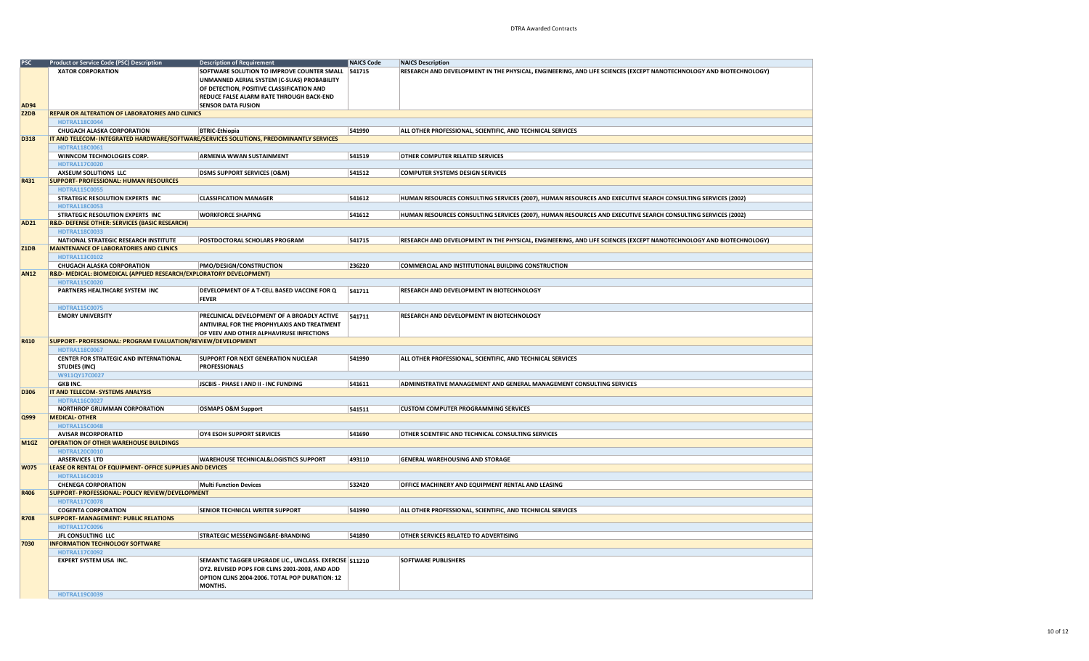| <b>PSC</b>  | <b>Product or Service Code (PSC) Description</b>                                             | <b>Description of Requirement</b>                      | <b>NAICS Code</b> | <b>NAICS Description</b>                                                                                           |
|-------------|----------------------------------------------------------------------------------------------|--------------------------------------------------------|-------------------|--------------------------------------------------------------------------------------------------------------------|
|             | XATOR CORPORATION                                                                            | SOFTWARE SOLUTION TO IMPROVE COUNTER SMALL             | 541715            | RESEARCH AND DEVELOPMENT IN THE PHYSICAL, ENGINEERING, AND LIFE SCIENCES (EXCEPT NANOTECHNOLOGY AND BIOTECHNOLOGY) |
|             |                                                                                              | UNMANNED AERIAL SYSTEM (C-SUAS) PROBABILITY            |                   |                                                                                                                    |
|             |                                                                                              | OF DETECTION, POSITIVE CLASSIFICATION AND              |                   |                                                                                                                    |
|             |                                                                                              | <b>REDUCE FALSE ALARM RATE THROUGH BACK-END</b>        |                   |                                                                                                                    |
| <b>AD94</b> |                                                                                              | <b>SENSOR DATA FUSION</b>                              |                   |                                                                                                                    |
| Z2DB        | REPAIR OR ALTERATION OF LABORATORIES AND CLINICS                                             |                                                        |                   |                                                                                                                    |
|             | <b>HDTRA118C0044</b>                                                                         |                                                        |                   |                                                                                                                    |
|             | <b>CHUGACH ALASKA CORPORATION</b>                                                            | <b>BTRIC-Ethiopia</b>                                  | 541990            | ALL OTHER PROFESSIONAL, SCIENTIFIC, AND TECHNICAL SERVICES                                                         |
| D318        | IT AND TELECOM- INTEGRATED HARDWARE/SOFTWARE/SERVICES SOLUTIONS, PREDOMINANTLY SERVICES      |                                                        |                   |                                                                                                                    |
|             | HDTRA118C0061                                                                                |                                                        |                   |                                                                                                                    |
|             | WINNCOM TECHNOLOGIES CORP.                                                                   | <b>ARMENIA WWAN SUSTAINMENT</b>                        | 541519            | OTHER COMPUTER RELATED SERVICES                                                                                    |
|             | HDTRA117C0020                                                                                |                                                        |                   |                                                                                                                    |
|             | AXSEUM SOLUTIONS LLC                                                                         | <b>DSMS SUPPORT SERVICES (O&amp;M)</b>                 | 541512            | <b>COMPUTER SYSTEMS DESIGN SERVICES</b>                                                                            |
| R431        | <b>SUPPORT- PROFESSIONAL: HUMAN RESOURCES</b>                                                |                                                        |                   |                                                                                                                    |
|             | <b>HDTRA115C0055</b>                                                                         |                                                        |                   |                                                                                                                    |
|             | STRATEGIC RESOLUTION EXPERTS INC                                                             | <b>CLASSIFICATION MANAGER</b>                          | 541612            | HUMAN RESOURCES CONSULTING SERVICES (2007), HUMAN RESOURCES AND EXECUTIVE SEARCH CONSULTING SERVICES (2002)        |
|             | <b>HDTRA118C0053</b>                                                                         |                                                        |                   |                                                                                                                    |
| <b>AD21</b> | STRATEGIC RESOLUTION EXPERTS INC<br><b>R&amp;D- DEFENSE OTHER: SERVICES (BASIC RESEARCH)</b> | <b>WORKFORCE SHAPING</b>                               | 541612            | HUMAN RESOURCES CONSULTING SERVICES (2007), HUMAN RESOURCES AND EXECUTIVE SEARCH CONSULTING SERVICES (2002)        |
|             | HDTRA118C0033                                                                                |                                                        |                   |                                                                                                                    |
|             | NATIONAL STRATEGIC RESEARCH INSTITUTE                                                        | POSTDOCTORAL SCHOLARS PROGRAM                          | 541715            | RESEARCH AND DEVELOPMENT IN THE PHYSICAL, ENGINEERING, AND LIFE SCIENCES (EXCEPT NANOTECHNOLOGY AND BIOTECHNOLOGY) |
| Z1DB        | <b>MAINTENANCE OF LABORATORIES AND CLINICS</b>                                               |                                                        |                   |                                                                                                                    |
|             | HDTRA113C0102                                                                                |                                                        |                   |                                                                                                                    |
|             | <b>CHUGACH ALASKA CORPORATION</b>                                                            | PMO/DESIGN/CONSTRUCTION                                | 236220            | COMMERCIAL AND INSTITUTIONAL BUILDING CONSTRUCTION                                                                 |
| <b>AN12</b> | R&D- MEDICAL: BIOMEDICAL (APPLIED RESEARCH/EXPLORATORY DEVELOPMENT)                          |                                                        |                   |                                                                                                                    |
|             | HDTRA115C0020                                                                                |                                                        |                   |                                                                                                                    |
|             | PARTNERS HEALTHCARE SYSTEM INC                                                               | DEVELOPMENT OF A T-CELL BASED VACCINE FOR Q            | 541711            | RESEARCH AND DEVELOPMENT IN BIOTECHNOLOGY                                                                          |
|             |                                                                                              | <b>FEVER</b>                                           |                   |                                                                                                                    |
|             | <b>HDTRA115C0075</b>                                                                         |                                                        |                   |                                                                                                                    |
|             | <b>EMORY UNIVERSITY</b>                                                                      | PRECLINICAL DEVELOPMENT OF A BROADLY ACTIVE            | 541711            | RESEARCH AND DEVELOPMENT IN BIOTECHNOLOGY                                                                          |
|             |                                                                                              | <b>ANTIVIRAL FOR THE PROPHYLAXIS AND TREATMENT</b>     |                   |                                                                                                                    |
|             |                                                                                              | OF VEEV AND OTHER ALPHAVIRUSE INFECTIONS               |                   |                                                                                                                    |
| R410        | SUPPORT- PROFESSIONAL: PROGRAM EVALUATION/REVIEW/DEVELOPMENT                                 |                                                        |                   |                                                                                                                    |
|             | <b>HDTRA118C0067</b>                                                                         |                                                        |                   |                                                                                                                    |
|             | CENTER FOR STRATEGIC AND INTERNATIONAL                                                       | <b>SUPPORT FOR NEXT GENERATION NUCLEAR</b>             | 541990            | ALL OTHER PROFESSIONAL, SCIENTIFIC, AND TECHNICAL SERVICES                                                         |
|             | <b>STUDIES (INC)</b>                                                                         | <b>PROFESSIONALS</b>                                   |                   |                                                                                                                    |
|             | W911QY17C0027                                                                                |                                                        |                   |                                                                                                                    |
| D306        | <b>GKB INC.</b><br>IT AND TELECOM- SYSTEMS ANALYSIS                                          | <b>JSCBIS - PHASE I AND II - INC FUNDING</b>           | 541611            | ADMINISTRATIVE MANAGEMENT AND GENERAL MANAGEMENT CONSULTING SERVICES                                               |
|             | HDTRA116C0027                                                                                |                                                        |                   |                                                                                                                    |
|             | <b>NORTHROP GRUMMAN CORPORATION</b>                                                          | <b>OSMAPS O&amp;M Support</b>                          | 541511            | <b>CUSTOM COMPUTER PROGRAMMING SERVICES</b>                                                                        |
| Q999        | <b>MEDICAL- OTHER</b>                                                                        |                                                        |                   |                                                                                                                    |
|             | <b>HDTRA115C0048</b>                                                                         |                                                        |                   |                                                                                                                    |
|             | <b>AVISAR INCORPORATED</b>                                                                   | OY4 ESOH SUPPORT SERVICES                              | 541690            | OTHER SCIENTIFIC AND TECHNICAL CONSULTING SERVICES                                                                 |
| M1GZ        | <b>OPERATION OF OTHER WAREHOUSE BUILDINGS</b>                                                |                                                        |                   |                                                                                                                    |
|             | HDTRA120C0010                                                                                |                                                        |                   |                                                                                                                    |
|             | <b>ARSERVICES LTD</b>                                                                        | <b>WAREHOUSE TECHNICAL&amp;LOGISTICS SUPPORT</b>       | 493110            | <b>GENERAL WAREHOUSING AND STORAGE</b>                                                                             |
| <b>W075</b> | LEASE OR RENTAL OF EQUIPMENT- OFFICE SUPPLIES AND DEVICES                                    |                                                        |                   |                                                                                                                    |
|             | HDTRA116C0019                                                                                |                                                        |                   |                                                                                                                    |
|             | <b>CHENEGA CORPORATION</b>                                                                   | <b>Multi Function Devices</b>                          | 532420            | OFFICE MACHINERY AND EQUIPMENT RENTAL AND LEASING                                                                  |
| R406        | SUPPORT- PROFESSIONAL: POLICY REVIEW/DEVELOPMENT                                             |                                                        |                   |                                                                                                                    |
|             | <b>HDTRA117C0078</b>                                                                         |                                                        |                   |                                                                                                                    |
|             | <b>COGENTA CORPORATION</b>                                                                   | <b>SENIOR TECHNICAL WRITER SUPPORT</b>                 | 541990            | ALL OTHER PROFESSIONAL, SCIENTIFIC, AND TECHNICAL SERVICES                                                         |
| <b>R708</b> | <b>SUPPORT- MANAGEMENT: PUBLIC RELATIONS</b>                                                 |                                                        |                   |                                                                                                                    |
|             | <b>HDTRA117C0096</b>                                                                         |                                                        |                   |                                                                                                                    |
|             | JFL CONSULTING LLC                                                                           | <b>STRATEGIC MESSENGING&amp;RE-BRANDING</b>            | 541890            | <b>OTHER SERVICES RELATED TO ADVERTISING</b>                                                                       |
| 7030        | <b>INFORMATION TECHNOLOGY SOFTWARE</b>                                                       |                                                        |                   |                                                                                                                    |
|             | HDTRA117C0092<br><b>EXPERT SYSTEM USA INC.</b>                                               | SEMANTIC TAGGER UPGRADE LIC., UNCLASS. EXERCISE 511210 |                   | <b>SOFTWARE PUBLISHERS</b>                                                                                         |
|             |                                                                                              | OY2. REVISED POPS FOR CLINS 2001-2003, AND ADD         |                   |                                                                                                                    |
|             |                                                                                              | OPTION CLINS 2004-2006. TOTAL POP DURATION: 12         |                   |                                                                                                                    |
|             |                                                                                              | MONTHS.                                                |                   |                                                                                                                    |
|             | HDTRA119C0039                                                                                |                                                        |                   |                                                                                                                    |
|             |                                                                                              |                                                        |                   |                                                                                                                    |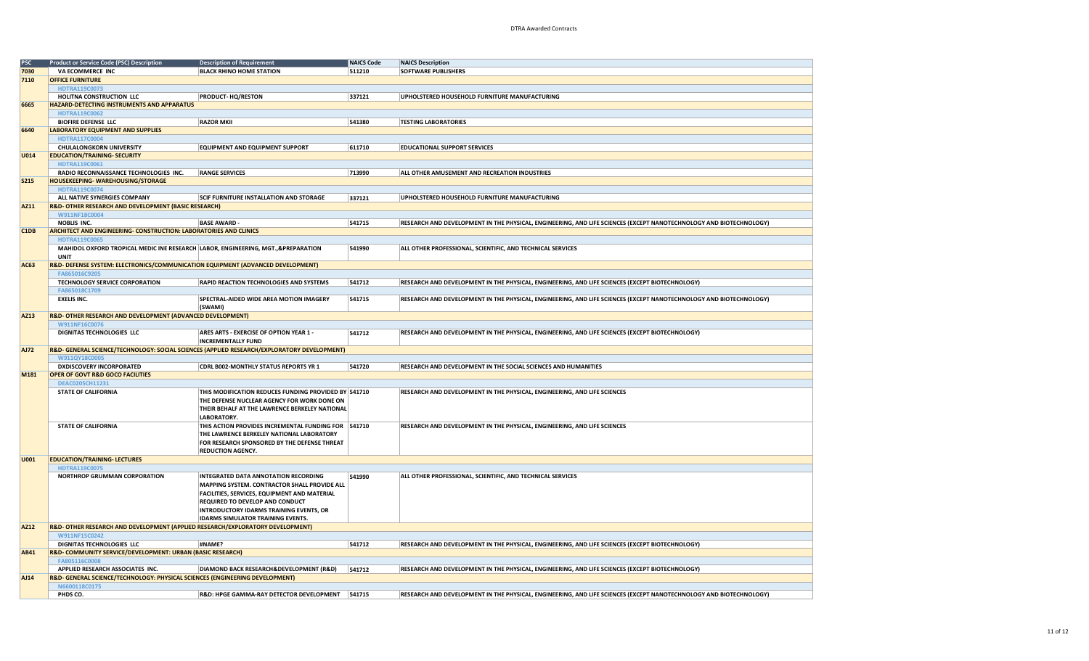| <b>PSC</b>  | <b>Product or Service Code (PSC) Description</b>                                  | <b>Description of Requirement</b>                                                           | NAICS Code | <b>NAICS Description</b>                                                                                           |
|-------------|-----------------------------------------------------------------------------------|---------------------------------------------------------------------------------------------|------------|--------------------------------------------------------------------------------------------------------------------|
| 7030        | VA ECOMMERCE INC                                                                  | <b>BLACK RHINO HOME STATION</b>                                                             | 511210     | <b>SOFTWARE PUBLISHERS</b>                                                                                         |
| 7110        | <b>OFFICE FURNITURE</b>                                                           |                                                                                             |            |                                                                                                                    |
|             |                                                                                   |                                                                                             |            |                                                                                                                    |
|             | HDTRA119C0073                                                                     |                                                                                             |            |                                                                                                                    |
|             | HOLITNA CONSTRUCTION LLC                                                          | <b>PRODUCT-HQ/RESTON</b>                                                                    | 337121     | UPHOLSTERED HOUSEHOLD FURNITURE MANUFACTURING                                                                      |
| 6665        | <b>HAZARD-DETECTING INSTRUMENTS AND APPARATUS</b>                                 |                                                                                             |            |                                                                                                                    |
|             | HDTRA119C0062                                                                     |                                                                                             |            |                                                                                                                    |
|             | <b>BIOFIRE DEFENSE LLC</b>                                                        | <b>RAZOR MKII</b>                                                                           | 541380     | <b>TESTING LABORATORIES</b>                                                                                        |
| 6640        | <b>LABORATORY EQUIPMENT AND SUPPLIES</b>                                          |                                                                                             |            |                                                                                                                    |
|             | HDTRA117C0004                                                                     |                                                                                             |            |                                                                                                                    |
|             |                                                                                   | <b>EQUIPMENT AND EQUIPMENT SUPPORT</b>                                                      | 611710     | <b>EDUCATIONAL SUPPORT SERVICES</b>                                                                                |
|             | CHULALONGKORN UNIVERSITY                                                          |                                                                                             |            |                                                                                                                    |
| U014        | <b>EDUCATION/TRAINING- SECURITY</b>                                               |                                                                                             |            |                                                                                                                    |
|             | HDTRA119C0061                                                                     |                                                                                             |            |                                                                                                                    |
|             | RADIO RECONNAISSANCE TECHNOLOGIES INC.                                            | <b>RANGE SERVICES</b>                                                                       | 713990     | ALL OTHER AMUSEMENT AND RECREATION INDUSTRIES                                                                      |
| <b>S215</b> | <b>HOUSEKEEPING-WAREHOUSING/STORAGE</b>                                           |                                                                                             |            |                                                                                                                    |
|             | HDTRA119C0074                                                                     |                                                                                             |            |                                                                                                                    |
|             | ALL NATIVE SYNERGIES COMPANY                                                      | <b>SCIF FURNITURE INSTALLATION AND STORAGE</b>                                              | 337121     | UPHOLSTERED HOUSEHOLD FURNITURE MANUFACTURING                                                                      |
| AZ11        | R&D- OTHER RESEARCH AND DEVELOPMENT (BASIC RESEARCH)                              |                                                                                             |            |                                                                                                                    |
|             | W911NF18C0004                                                                     |                                                                                             |            |                                                                                                                    |
|             | NOBLIS INC.                                                                       | <b>BASE AWARD -</b>                                                                         | 541715     | RESEARCH AND DEVELOPMENT IN THE PHYSICAL, ENGINEERING, AND LIFE SCIENCES (EXCEPT NANOTECHNOLOGY AND BIOTECHNOLOGY) |
| C1DB        | ARCHITECT AND ENGINEERING- CONSTRUCTION: LABORATORIES AND CLINICS                 |                                                                                             |            |                                                                                                                    |
|             |                                                                                   |                                                                                             |            |                                                                                                                    |
|             | HDTRA119C0065                                                                     |                                                                                             |            |                                                                                                                    |
|             | MAHIDOL OXFORD TROPICAL MEDIC INE RESEARCH LABOR, ENGINEERING, MGT., &PREPARATION |                                                                                             | 541990     | ALL OTHER PROFESSIONAL, SCIENTIFIC, AND TECHNICAL SERVICES                                                         |
|             | <b>UNIT</b>                                                                       |                                                                                             |            |                                                                                                                    |
| <b>AC63</b> | R&D-DEFENSE SYSTEM: ELECTRONICS/COMMUNICATION EQUIPMENT (ADVANCED DEVELOPMENT)    |                                                                                             |            |                                                                                                                    |
|             | FA865016C9205                                                                     |                                                                                             |            |                                                                                                                    |
|             | TECHNOLOGY SERVICE CORPORATION                                                    | <b>RAPID REACTION TECHNOLOGIES AND SYSTEMS</b>                                              | 541712     | RESEARCH AND DEVELOPMENT IN THE PHYSICAL, ENGINEERING, AND LIFE SCIENCES (EXCEPT BIOTECHNOLOGY)                    |
|             | FA865018C1709                                                                     |                                                                                             |            |                                                                                                                    |
|             | <b>EXELIS INC.</b>                                                                | SPECTRAL-AIDED WIDE AREA MOTION IMAGERY                                                     | 541715     | RESEARCH AND DEVELOPMENT IN THE PHYSICAL, ENGINEERING, AND LIFE SCIENCES (EXCEPT NANOTECHNOLOGY AND BIOTECHNOLOGY) |
|             |                                                                                   | (SWAMI)                                                                                     |            |                                                                                                                    |
| <b>AZ13</b> | R&D-OTHER RESEARCH AND DEVELOPMENT (ADVANCED DEVELOPMENT)                         |                                                                                             |            |                                                                                                                    |
|             |                                                                                   |                                                                                             |            |                                                                                                                    |
|             | W911NF16C0076                                                                     |                                                                                             |            |                                                                                                                    |
|             | DIGNITAS TECHNOLOGIES LLC                                                         | ARES ARTS - EXERCISE OF OPTION YEAR 1 -                                                     | 541712     | RESEARCH AND DEVELOPMENT IN THE PHYSICAL, ENGINEERING, AND LIFE SCIENCES (EXCEPT BIOTECHNOLOGY)                    |
|             |                                                                                   | <b>INCREMENTALLY FUND</b>                                                                   |            |                                                                                                                    |
| <b>AJ72</b> |                                                                                   | R&D- GENERAL SCIENCE/TECHNOLOGY: SOCIAL SCIENCES (APPLIED RESEARCH/EXPLORATORY DEVELOPMENT) |            |                                                                                                                    |
|             | W911QY18C0005                                                                     |                                                                                             |            |                                                                                                                    |
|             | <b>DXDISCOVERY INCORPORATED</b>                                                   | <b>CDRL B002-MONTHLY STATUS REPORTS YR 1</b>                                                | 541720     | RESEARCH AND DEVELOPMENT IN THE SOCIAL SCIENCES AND HUMANITIES                                                     |
| M181        | <b>OPER OF GOVT R&amp;D GOCO FACILITIES</b>                                       |                                                                                             |            |                                                                                                                    |
|             | DEAC0205CH11231                                                                   |                                                                                             |            |                                                                                                                    |
|             | <b>STATE OF CALIFORNIA</b>                                                        | THIS MODIFICATION REDUCES FUNDING PROVIDED BY 541710                                        |            | RESEARCH AND DEVELOPMENT IN THE PHYSICAL, ENGINEERING, AND LIFE SCIENCES                                           |
|             |                                                                                   | THE DEFENSE NUCLEAR AGENCY FOR WORK DONE ON                                                 |            |                                                                                                                    |
|             |                                                                                   |                                                                                             |            |                                                                                                                    |
|             |                                                                                   | THEIR BEHALF AT THE LAWRENCE BERKELEY NATIONAL                                              |            |                                                                                                                    |
|             |                                                                                   | LABORATORY.                                                                                 |            |                                                                                                                    |
|             | <b>STATE OF CALIFORNIA</b>                                                        | THIS ACTION PROVIDES INCREMENTAL FUNDING FOR 541710                                         |            | RESEARCH AND DEVELOPMENT IN THE PHYSICAL, ENGINEERING, AND LIFE SCIENCES                                           |
|             |                                                                                   | THE LAWRENCE BERKELEY NATIONAL LABORATORY                                                   |            |                                                                                                                    |
|             |                                                                                   | FOR RESEARCH SPONSORED BY THE DEFENSE THREAT                                                |            |                                                                                                                    |
|             |                                                                                   | <b>REDUCTION AGENCY.</b>                                                                    |            |                                                                                                                    |
| U001        | <b>EDUCATION/TRAINING- LECTURES</b>                                               |                                                                                             |            |                                                                                                                    |
|             | HDTRA119C0075                                                                     |                                                                                             |            |                                                                                                                    |
|             | <b>NORTHROP GRUMMAN CORPORATION</b>                                               | INTEGRATED DATA ANNOTATION RECORDING                                                        | 541990     | ALL OTHER PROFESSIONAL, SCIENTIFIC, AND TECHNICAL SERVICES                                                         |
|             |                                                                                   | MAPPING SYSTEM. CONTRACTOR SHALL PROVIDE ALL                                                |            |                                                                                                                    |
|             |                                                                                   |                                                                                             |            |                                                                                                                    |
|             |                                                                                   | FACILITIES, SERVICES, EQUIPMENT AND MATERIAL                                                |            |                                                                                                                    |
|             |                                                                                   | REQUIRED TO DEVELOP AND CONDUCT                                                             |            |                                                                                                                    |
|             |                                                                                   | <b>INTRODUCTORY IDARMS TRAINING EVENTS, OR</b>                                              |            |                                                                                                                    |
|             |                                                                                   | <b>IDARMS SIMULATOR TRAINING EVENTS.</b>                                                    |            |                                                                                                                    |
| AZ12        | R&D-OTHER RESEARCH AND DEVELOPMENT (APPLIED RESEARCH/EXPLORATORY DEVELOPMENT)     |                                                                                             |            |                                                                                                                    |
|             | W911NF15C0242                                                                     |                                                                                             |            |                                                                                                                    |
|             | DIGNITAS TECHNOLOGIES LLC                                                         | #NAME?                                                                                      | 541712     | RESEARCH AND DEVELOPMENT IN THE PHYSICAL, ENGINEERING, AND LIFE SCIENCES (EXCEPT BIOTECHNOLOGY)                    |
| <b>AB41</b> | R&D- COMMUNITY SERVICE/DEVELOPMENT: URBAN (BASIC RESEARCH)                        |                                                                                             |            |                                                                                                                    |
|             | FA805116C0008                                                                     |                                                                                             |            |                                                                                                                    |
|             | APPLIED RESEARCH ASSOCIATES INC.                                                  | DIAMOND BACK RESEARCH&DEVELOPMENT (R&D)                                                     | 541712     | RESEARCH AND DEVELOPMENT IN THE PHYSICAL, ENGINEERING, AND LIFE SCIENCES (EXCEPT BIOTECHNOLOGY)                    |
|             |                                                                                   |                                                                                             |            |                                                                                                                    |
| AJ14        | R&D- GENERAL SCIENCE/TECHNOLOGY: PHYSICAL SCIENCES (ENGINEERING DEVELOPMENT)      |                                                                                             |            |                                                                                                                    |
|             | N6600118C0175                                                                     |                                                                                             |            |                                                                                                                    |
|             | PHDS CO.                                                                          | R&D: HPGE GAMMA-RAY DETECTOR DEVELOPMENT                                                    | 541715     | RESEARCH AND DEVELOPMENT IN THE PHYSICAL, ENGINEERING, AND LIFE SCIENCES (EXCEPT NANOTECHNOLOGY AND BIOTECHNOLOGY) |